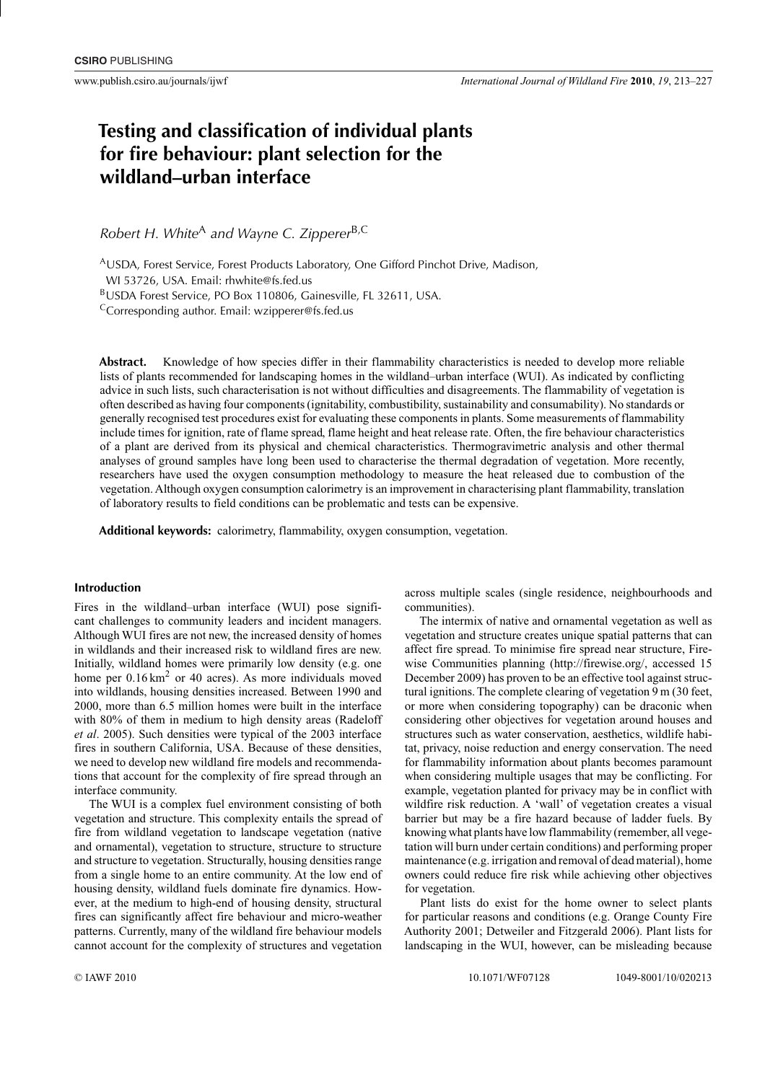# **Testing and classification of individual plants for fire behaviour: plant selection for the wildland–urban interface**

*Robert H. White*<sup>A</sup> *and Wayne C. Zipperer*B,C

AUSDA, Forest Service, Forest Products Laboratory, One Gifford Pinchot Drive, Madison,

WI 53726, USA. Email: rhwhite@fs.fed.us

BUSDA Forest Service, PO Box 110806, Gainesville, FL 32611, USA.

 $C$ Corresponding author. Email: [wzipperer@fs.fed.us](mailto:wzipperer@fs.fed.us)

Abstract. Knowledge of how species differ in their flammability characteristics is needed to develop more reliable lists of plants recommended for landscaping homes in the wildland–urban interface (WUI). As indicated by conflicting advice in such lists, such characterisation is not without difficulties and disagreements. The flammability of vegetation is often described as having four components (ignitability, combustibility, sustainability and consumability). No standards or generally recognised test procedures exist for evaluating these components in plants. Some measurements of flammability include times for ignition, rate of flame spread, flame height and heat release rate. Often, the fire behaviour characteristics of a plant are derived from its physical and chemical characteristics. Thermogravimetric analysis and other thermal analyses of ground samples have long been used to characterise the thermal degradation of vegetation. More recently, researchers have used the oxygen consumption methodology to measure the heat released due to combustion of the vegetation. Although oxygen consumption calorimetry is an improvement in characterising plant flammability, translation of laboratory results to field conditions can be problematic and tests can be expensive.

**Additional keywords:** calorimetry, flammability, oxygen consumption, vegetation.

## **Introduction**

Fires in the wildland–urban interface (WUI) pose significant challenges to community leaders and incident managers. Although WUI fires are not new, the increased density of homes in wildlands and their increased risk to wildland fires are new. Initially, wildland homes were primarily low density (e.g. one home per  $0.16 \text{ km}^2$  or 40 acres). As more individuals moved into wildlands, housing densities increased. Between 1990 and 2000, more than 6.5 million homes were built in the interface with 80% of them in medium to high density areas (Radeloff *et al*. 2005). Such densities were typical of the 2003 interface fires in southern California, USA. Because of these densities, we need to develop new wildland fire models and recommendations that account for the complexity of fire spread through an interface community.

The WUI is a complex fuel environment consisting of both vegetation and structure. This complexity entails the spread of fire from wildland vegetation to landscape vegetation (native and ornamental), vegetation to structure, structure to structure and structure to vegetation. Structurally, housing densities range from a single home to an entire community. At the low end of housing density, wildland fuels dominate fire dynamics. However, at the medium to high-end of housing density, structural fires can significantly affect fire behaviour and micro-weather patterns. Currently, many of the wildland fire behaviour models cannot account for the complexity of structures and vegetation

across multiple scales (single residence, neighbourhoods and communities).

The intermix of native and ornamental vegetation as well as vegetation and structure creates unique spatial patterns that can affect fire spread. To minimise fire spread near structure, Firewise Communities planning ([http://firewise.org/,](http://firewise.org/) accessed 15 December 2009) has proven to be an effective tool against structural ignitions. The complete clearing of vegetation 9 m (30 feet, or more when considering topography) can be draconic when considering other objectives for vegetation around houses and structures such as water conservation, aesthetics, wildlife habitat, privacy, noise reduction and energy conservation. The need for flammability information about plants becomes paramount when considering multiple usages that may be conflicting. For example, vegetation planted for privacy may be in conflict with wildfire risk reduction. A 'wall' of vegetation creates a visual barrier but may be a fire hazard because of ladder fuels. By knowing what plants have low flammability (remember, all vegetation will burn under certain conditions) and performing proper maintenance (e.g. irrigation and removal of dead material), home owners could reduce fire risk while achieving other objectives for vegetation.

Plant lists do exist for the home owner to select plants for particular reasons and conditions (e.g. Orange County Fire Authority 2001; Detweiler and Fitzgerald 2006). Plant lists for landscaping in the WUI, however, can be misleading because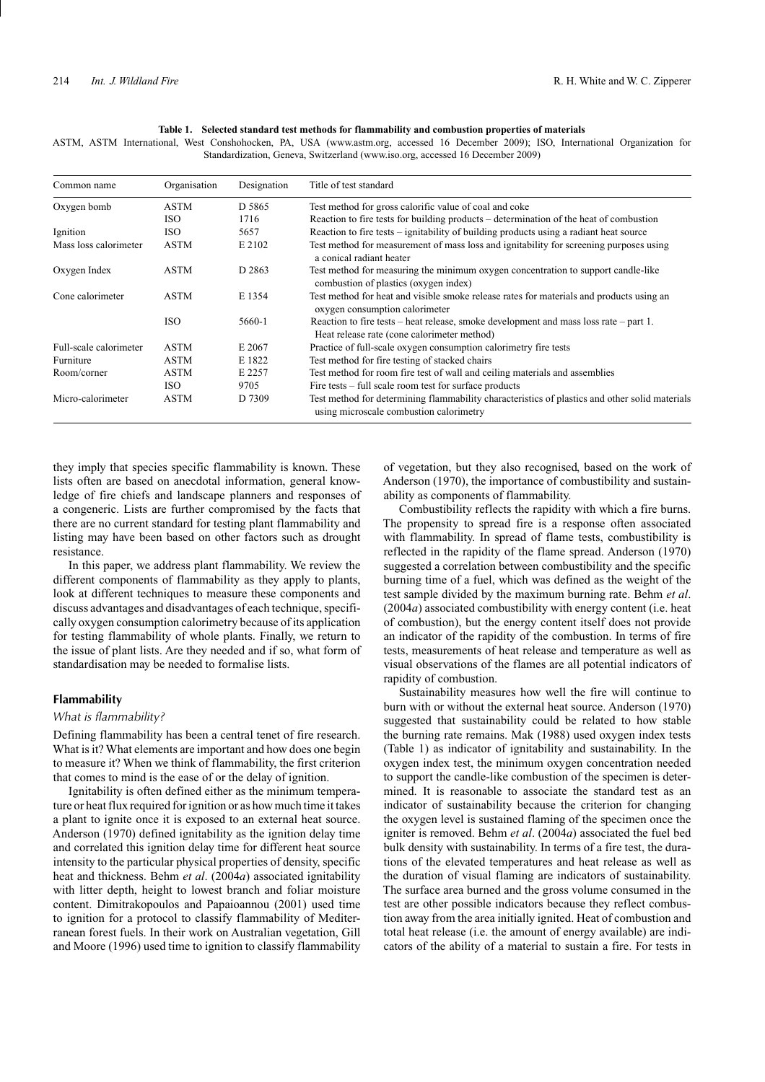#### **Table 1. Selected standard test methods for flammability and combustion properties of materials**

ASTM, ASTM International, West Conshohocken, PA, USA ([www.astm.org,](www.astm.org) accessed 16 December 2009); ISO, International Organization for Standardization, Geneva, Switzerland [\(www.iso.org,](www.iso.org) accessed 16 December 2009)

| Common name            | Organisation | Designation | Title of test standard                                                                                                                    |
|------------------------|--------------|-------------|-------------------------------------------------------------------------------------------------------------------------------------------|
| Oxygen bomb            | <b>ASTM</b>  | D 5865      | Test method for gross calorific value of coal and coke                                                                                    |
|                        | <b>ISO</b>   | 1716        | Reaction to fire tests for building products – determination of the heat of combustion                                                    |
| Ignition               | <b>ISO</b>   | 5657        | Reaction to fire tests – ignitability of building products using a radiant heat source                                                    |
| Mass loss calorimeter  | <b>ASTM</b>  | E 2102      | Test method for measurement of mass loss and ignitability for screening purposes using<br>a conical radiant heater                        |
| Oxygen Index           | <b>ASTM</b>  | D 2863      | Test method for measuring the minimum oxygen concentration to support candle-like<br>combustion of plastics (oxygen index)                |
| Cone calorimeter       | <b>ASTM</b>  | E 1354      | Test method for heat and visible smoke release rates for materials and products using an<br>oxygen consumption calorimeter                |
|                        | <b>ISO</b>   | 5660-1      | Reaction to fire tests – heat release, smoke development and mass loss rate – part 1.<br>Heat release rate (cone calorimeter method)      |
| Full-scale calorimeter | <b>ASTM</b>  | E 2067      | Practice of full-scale oxygen consumption calorimetry fire tests                                                                          |
| Furniture              | <b>ASTM</b>  | E 1822      | Test method for fire testing of stacked chairs                                                                                            |
| Room/corner            | <b>ASTM</b>  | E 2257      | Test method for room fire test of wall and ceiling materials and assemblies                                                               |
|                        | <b>ISO</b>   | 9705        | Fire tests – full scale room test for surface products                                                                                    |
| Micro-calorimeter      | <b>ASTM</b>  | D 7309      | Test method for determining flammability characteristics of plastics and other solid materials<br>using microscale combustion calorimetry |

they imply that species specific flammability is known. These lists often are based on anecdotal information, general knowledge of fire chiefs and landscape planners and responses of a congeneric. Lists are further compromised by the facts that there are no current standard for testing plant flammability and listing may have been based on other factors such as drought resistance.

In this paper, we address plant flammability. We review the different components of flammability as they apply to plants, look at different techniques to measure these components and discuss advantages and disadvantages of each technique, specifically oxygen consumption calorimetry because of its application for testing flammability of whole plants. Finally, we return to the issue of plant lists. Are they needed and if so, what form of standardisation may be needed to formalise lists.

# **Flammability**

## *What is flammability?*

Defining flammability has been a central tenet of fire research. What is it? What elements are important and how does one begin to measure it? When we think of flammability, the first criterion that comes to mind is the ease of or the delay of ignition.

Ignitability is often defined either as the minimum temperature or heat flux required for ignition or as how much time it takes a plant to ignite once it is exposed to an external heat source. Anderson (1970) defined ignitability as the ignition delay time and correlated this ignition delay time for different heat source intensity to the particular physical properties of density, specific heat and thickness. Behm *et al*. (2004*a*) associated ignitability with litter depth, height to lowest branch and foliar moisture content. Dimitrakopoulos and Papaioannou (2001) used time to ignition for a protocol to classify flammability of Mediterranean forest fuels. In their work on Australian vegetation, Gill and Moore (1996) used time to ignition to classify flammability of vegetation, but they also recognised, based on the work of Anderson (1970), the importance of combustibility and sustainability as components of flammability.

Combustibility reflects the rapidity with which a fire burns. The propensity to spread fire is a response often associated with flammability. In spread of flame tests, combustibility is reflected in the rapidity of the flame spread. Anderson (1970) suggested a correlation between combustibility and the specific burning time of a fuel, which was defined as the weight of the test sample divided by the maximum burning rate. Behm *et al*. (2004*a*) associated combustibility with energy content (i.e. heat of combustion), but the energy content itself does not provide an indicator of the rapidity of the combustion. In terms of fire tests, measurements of heat release and temperature as well as visual observations of the flames are all potential indicators of rapidity of combustion.

Sustainability measures how well the fire will continue to burn with or without the external heat source. Anderson (1970) suggested that sustainability could be related to how stable the burning rate remains. Mak (1988) used oxygen index tests (Table 1) as indicator of ignitability and sustainability. In the oxygen index test, the minimum oxygen concentration needed to support the candle-like combustion of the specimen is determined. It is reasonable to associate the standard test as an indicator of sustainability because the criterion for changing the oxygen level is sustained flaming of the specimen once the igniter is removed. Behm *et al*. (2004*a*) associated the fuel bed bulk density with sustainability. In terms of a fire test, the durations of the elevated temperatures and heat release as well as the duration of visual flaming are indicators of sustainability. The surface area burned and the gross volume consumed in the test are other possible indicators because they reflect combustion away from the area initially ignited. Heat of combustion and total heat release (i.e. the amount of energy available) are indicators of the ability of a material to sustain a fire. For tests in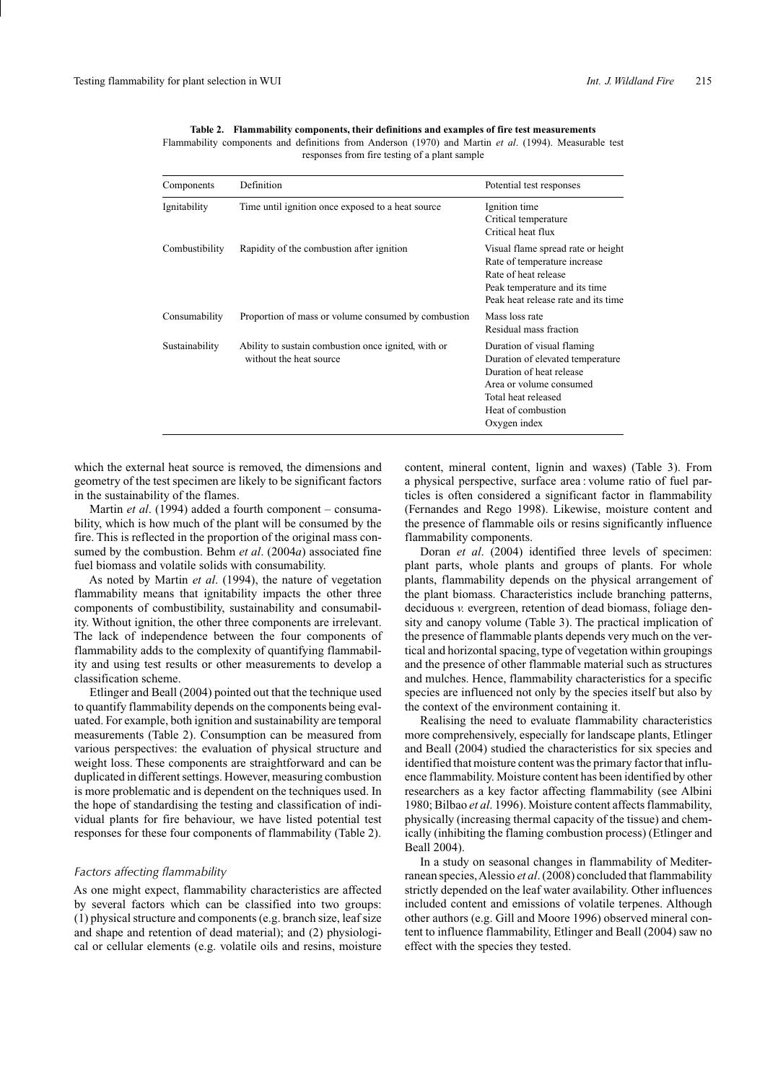| Components     | Definition                                                                     | Potential test responses                                                                                                                                                           |
|----------------|--------------------------------------------------------------------------------|------------------------------------------------------------------------------------------------------------------------------------------------------------------------------------|
| Ignitability   | Time until ignition once exposed to a heat source.                             | Ignition time<br>Critical temperature<br>Critical heat flux                                                                                                                        |
| Combustibility | Rapidity of the combustion after ignition                                      | Visual flame spread rate or height<br>Rate of temperature increase<br>Rate of heat release<br>Peak temperature and its time<br>Peak heat release rate and its time                 |
| Consumability  | Proportion of mass or volume consumed by combustion                            | Mass loss rate<br>Residual mass fraction                                                                                                                                           |
| Sustainability | Ability to sustain combustion once ignited, with or<br>without the heat source | Duration of visual flaming<br>Duration of elevated temperature<br>Duration of heat release<br>Area or volume consumed<br>Total heat released<br>Heat of combustion<br>Oxygen index |

**Table 2. Flammability components, their definitions and examples of fire test measurements** Flammability components and definitions from Anderson (1970) and Martin *et al*. (1994). Measurable test responses from fire testing of a plant sample

which the external heat source is removed, the dimensions and geometry of the test specimen are likely to be significant factors in the sustainability of the flames.

Martin *et al*. (1994) added a fourth component – consumability, which is how much of the plant will be consumed by the fire. This is reflected in the proportion of the original mass consumed by the combustion. Behm *et al*. (2004*a*) associated fine fuel biomass and volatile solids with consumability.

As noted by Martin *et al*. (1994), the nature of vegetation flammability means that ignitability impacts the other three components of combustibility, sustainability and consumability. Without ignition, the other three components are irrelevant. The lack of independence between the four components of flammability adds to the complexity of quantifying flammability and using test results or other measurements to develop a classification scheme.

Etlinger and Beall (2004) pointed out that the technique used to quantify flammability depends on the components being evaluated. For example, both ignition and sustainability are temporal measurements (Table 2). Consumption can be measured from various perspectives: the evaluation of physical structure and weight loss. These components are straightforward and can be duplicated in different settings. However, measuring combustion is more problematic and is dependent on the techniques used. In the hope of standardising the testing and classification of individual plants for fire behaviour, we have listed potential test responses for these four components of flammability (Table 2).

## *Factors affecting flammability*

As one might expect, flammability characteristics are affected by several factors which can be classified into two groups: (1) physical structure and components (e.g. branch size, leaf size and shape and retention of dead material); and (2) physiological or cellular elements (e.g. volatile oils and resins, moisture content, mineral content, lignin and waxes) (Table 3). From a physical perspective, surface area : volume ratio of fuel particles is often considered a significant factor in flammability (Fernandes and Rego 1998). Likewise, moisture content and the presence of flammable oils or resins significantly influence flammability components.

Doran *et al*. (2004) identified three levels of specimen: plant parts, whole plants and groups of plants. For whole plants, flammability depends on the physical arrangement of the plant biomass. Characteristics include branching patterns, deciduous *v.* evergreen, retention of dead biomass, foliage density and canopy volume (Table 3). The practical implication of the presence of flammable plants depends very much on the vertical and horizontal spacing, type of vegetation within groupings and the presence of other flammable material such as structures and mulches. Hence, flammability characteristics for a specific species are influenced not only by the species itself but also by the context of the environment containing it.

Realising the need to evaluate flammability characteristics more comprehensively, especially for landscape plants, Etlinger and Beall (2004) studied the characteristics for six species and identified that moisture content was the primary factor that influence flammability. Moisture content has been identified by other researchers as a key factor affecting flammability (see Albini 1980; Bilbao *et al*. 1996). Moisture content affects flammability, physically (increasing thermal capacity of the tissue) and chemically (inhibiting the flaming combustion process) (Etlinger and Beall 2004).

In a study on seasonal changes in flammability of Mediterranean species,Alessio *et al*. (2008) concluded that flammability strictly depended on the leaf water availability. Other influences included content and emissions of volatile terpenes. Although other authors (e.g. Gill and Moore 1996) observed mineral content to influence flammability, Etlinger and Beall (2004) saw no effect with the species they tested.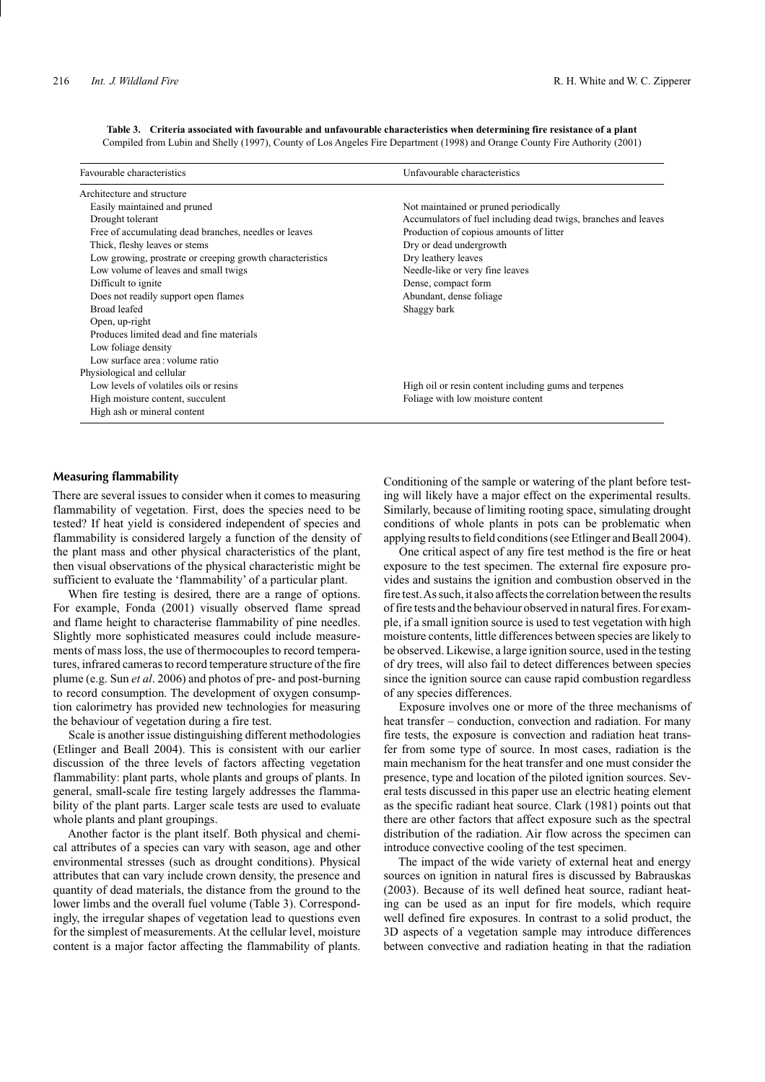## **Table 3. Criteria associated with favourable and unfavourable characteristics when determining fire resistance of a plant**

Compiled from Lubin and Shelly (1997), County of Los Angeles Fire Department (1998) and Orange County Fire Authority (2001)

| Favourable characteristics                                | Unfavourable characteristics                                   |  |
|-----------------------------------------------------------|----------------------------------------------------------------|--|
| Architecture and structure                                |                                                                |  |
| Easily maintained and pruned                              | Not maintained or pruned periodically                          |  |
| Drought tolerant                                          | Accumulators of fuel including dead twigs, branches and leaves |  |
| Free of accumulating dead branches, needles or leaves     | Production of copious amounts of litter                        |  |
| Thick, fleshy leaves or stems                             | Dry or dead undergrowth                                        |  |
| Low growing, prostrate or creeping growth characteristics | Dry leathery leaves                                            |  |
| Low volume of leaves and small twigs                      | Needle-like or very fine leaves                                |  |
| Difficult to ignite                                       | Dense, compact form                                            |  |
| Does not readily support open flames                      | Abundant, dense foliage                                        |  |
| Broad leafed                                              | Shaggy bark                                                    |  |
| Open, up-right                                            |                                                                |  |
| Produces limited dead and fine materials                  |                                                                |  |
| Low foliage density                                       |                                                                |  |
| Low surface area : volume ratio                           |                                                                |  |
| Physiological and cellular                                |                                                                |  |
| Low levels of volatiles oils or resins                    | High oil or resin content including gums and terpenes          |  |
| High moisture content, succulent                          | Foliage with low moisture content                              |  |
| High ash or mineral content                               |                                                                |  |

## **Measuring flammability**

There are several issues to consider when it comes to measuring flammability of vegetation. First, does the species need to be tested? If heat yield is considered independent of species and flammability is considered largely a function of the density of the plant mass and other physical characteristics of the plant, then visual observations of the physical characteristic might be sufficient to evaluate the 'flammability' of a particular plant.

When fire testing is desired, there are a range of options. For example, Fonda (2001) visually observed flame spread and flame height to characterise flammability of pine needles. Slightly more sophisticated measures could include measurements of mass loss, the use of thermocouples to record temperatures, infrared cameras to record temperature structure of the fire plume (e.g. Sun *et al*. 2006) and photos of pre- and post-burning to record consumption. The development of oxygen consumption calorimetry has provided new technologies for measuring the behaviour of vegetation during a fire test.

Scale is another issue distinguishing different methodologies (Etlinger and Beall 2004). This is consistent with our earlier discussion of the three levels of factors affecting vegetation flammability: plant parts, whole plants and groups of plants. In general, small-scale fire testing largely addresses the flammability of the plant parts. Larger scale tests are used to evaluate whole plants and plant groupings.

Another factor is the plant itself. Both physical and chemical attributes of a species can vary with season, age and other environmental stresses (such as drought conditions). Physical attributes that can vary include crown density, the presence and quantity of dead materials, the distance from the ground to the lower limbs and the overall fuel volume (Table 3). Correspondingly, the irregular shapes of vegetation lead to questions even for the simplest of measurements. At the cellular level, moisture content is a major factor affecting the flammability of plants. Conditioning of the sample or watering of the plant before testing will likely have a major effect on the experimental results. Similarly, because of limiting rooting space, simulating drought conditions of whole plants in pots can be problematic when applying results to field conditions (see Etlinger and Beall 2004).

One critical aspect of any fire test method is the fire or heat exposure to the test specimen. The external fire exposure provides and sustains the ignition and combustion observed in the fire test.As such, it also affects the correlation between the results of fire tests and the behaviour observed in natural fires. For example, if a small ignition source is used to test vegetation with high moisture contents, little differences between species are likely to be observed. Likewise, a large ignition source, used in the testing of dry trees, will also fail to detect differences between species since the ignition source can cause rapid combustion regardless of any species differences.

Exposure involves one or more of the three mechanisms of heat transfer – conduction, convection and radiation. For many fire tests, the exposure is convection and radiation heat transfer from some type of source. In most cases, radiation is the main mechanism for the heat transfer and one must consider the presence, type and location of the piloted ignition sources. Several tests discussed in this paper use an electric heating element as the specific radiant heat source. Clark (1981) points out that there are other factors that affect exposure such as the spectral distribution of the radiation. Air flow across the specimen can introduce convective cooling of the test specimen.

The impact of the wide variety of external heat and energy sources on ignition in natural fires is discussed by Babrauskas (2003). Because of its well defined heat source, radiant heating can be used as an input for fire models, which require well defined fire exposures. In contrast to a solid product, the 3D aspects of a vegetation sample may introduce differences between convective and radiation heating in that the radiation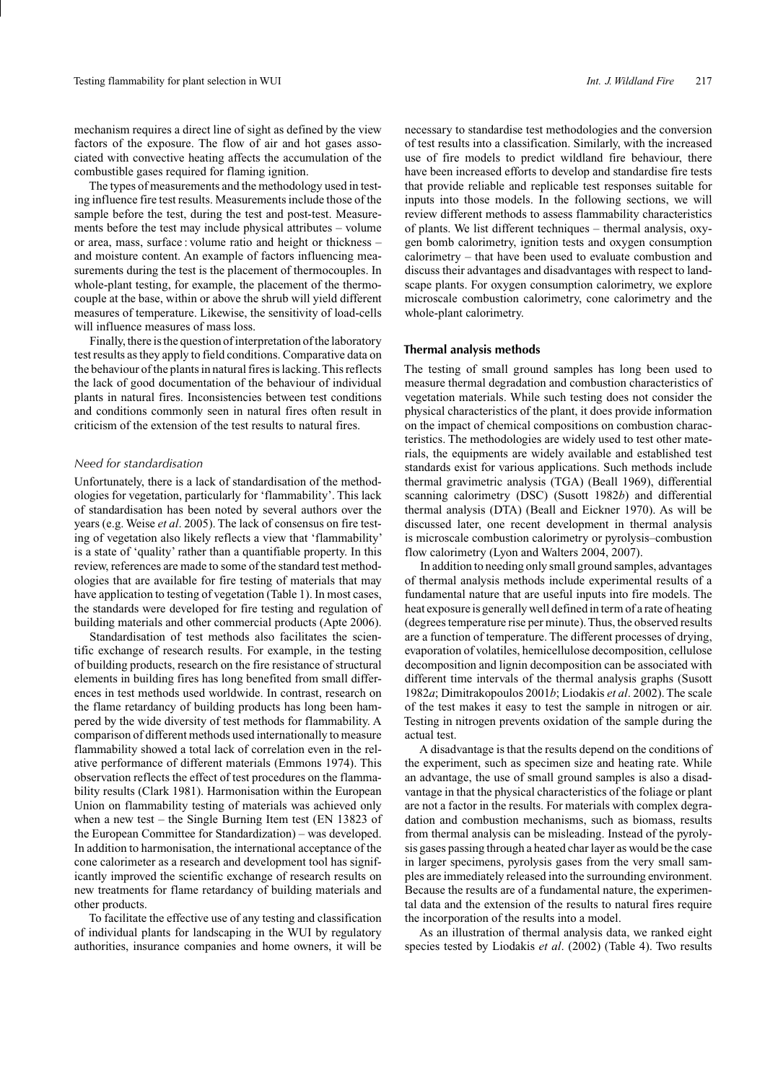mechanism requires a direct line of sight as defined by the view factors of the exposure. The flow of air and hot gases associated with convective heating affects the accumulation of the combustible gases required for flaming ignition.

The types of measurements and the methodology used in testing influence fire test results. Measurements include those of the sample before the test, during the test and post-test. Measurements before the test may include physical attributes – volume or area, mass, surface : volume ratio and height or thickness – and moisture content. An example of factors influencing measurements during the test is the placement of thermocouples. In whole-plant testing, for example, the placement of the thermocouple at the base, within or above the shrub will yield different measures of temperature. Likewise, the sensitivity of load-cells will influence measures of mass loss.

Finally, there is the question of interpretation of the laboratory test results as they apply to field conditions. Comparative data on the behaviour of the plants in natural fires is lacking.This reflects the lack of good documentation of the behaviour of individual plants in natural fires. Inconsistencies between test conditions and conditions commonly seen in natural fires often result in criticism of the extension of the test results to natural fires.

## *Need for standardisation*

Unfortunately, there is a lack of standardisation of the methodologies for vegetation, particularly for 'flammability'. This lack of standardisation has been noted by several authors over the years (e.g. Weise *et al*. 2005). The lack of consensus on fire testing of vegetation also likely reflects a view that 'flammability' is a state of 'quality' rather than a quantifiable property. In this review, references are made to some of the standard test methodologies that are available for fire testing of materials that may have application to testing of vegetation (Table 1). In most cases, the standards were developed for fire testing and regulation of building materials and other commercial products (Apte 2006).

Standardisation of test methods also facilitates the scientific exchange of research results. For example, in the testing of building products, research on the fire resistance of structural elements in building fires has long benefited from small differences in test methods used worldwide. In contrast, research on the flame retardancy of building products has long been hampered by the wide diversity of test methods for flammability. A comparison of different methods used internationally to measure flammability showed a total lack of correlation even in the relative performance of different materials (Emmons 1974). This observation reflects the effect of test procedures on the flammability results (Clark 1981). Harmonisation within the European Union on flammability testing of materials was achieved only when a new test – the Single Burning Item test (EN 13823 of the European Committee for Standardization) – was developed. In addition to harmonisation, the international acceptance of the cone calorimeter as a research and development tool has significantly improved the scientific exchange of research results on new treatments for flame retardancy of building materials and other products.

To facilitate the effective use of any testing and classification of individual plants for landscaping in the WUI by regulatory authorities, insurance companies and home owners, it will be

necessary to standardise test methodologies and the conversion of test results into a classification. Similarly, with the increased use of fire models to predict wildland fire behaviour, there have been increased efforts to develop and standardise fire tests that provide reliable and replicable test responses suitable for inputs into those models. In the following sections, we will

review different methods to assess flammability characteristics of plants. We list different techniques – thermal analysis, oxygen bomb calorimetry, ignition tests and oxygen consumption calorimetry – that have been used to evaluate combustion and discuss their advantages and disadvantages with respect to landscape plants. For oxygen consumption calorimetry, we explore microscale combustion calorimetry, cone calorimetry and the whole-plant calorimetry.

#### **Thermal analysis methods**

The testing of small ground samples has long been used to measure thermal degradation and combustion characteristics of vegetation materials. While such testing does not consider the physical characteristics of the plant, it does provide information on the impact of chemical compositions on combustion characteristics. The methodologies are widely used to test other materials, the equipments are widely available and established test standards exist for various applications. Such methods include thermal gravimetric analysis (TGA) (Beall 1969), differential scanning calorimetry (DSC) (Susott 1982*b*) and differential thermal analysis (DTA) (Beall and Eickner 1970). As will be discussed later, one recent development in thermal analysis is microscale combustion calorimetry or pyrolysis–combustion flow calorimetry (Lyon and Walters 2004, 2007).

In addition to needing only small ground samples, advantages of thermal analysis methods include experimental results of a fundamental nature that are useful inputs into fire models. The heat exposure is generally well defined in term of a rate of heating (degrees temperature rise per minute).Thus, the observed results are a function of temperature. The different processes of drying, evaporation of volatiles, hemicellulose decomposition, cellulose decomposition and lignin decomposition can be associated with different time intervals of the thermal analysis graphs (Susott 1982*a*; Dimitrakopoulos 2001*b*; Liodakis *et al*. 2002). The scale of the test makes it easy to test the sample in nitrogen or air. Testing in nitrogen prevents oxidation of the sample during the actual test.

A disadvantage is that the results depend on the conditions of the experiment, such as specimen size and heating rate. While an advantage, the use of small ground samples is also a disadvantage in that the physical characteristics of the foliage or plant are not a factor in the results. For materials with complex degradation and combustion mechanisms, such as biomass, results from thermal analysis can be misleading. Instead of the pyrolysis gases passing through a heated char layer as would be the case in larger specimens, pyrolysis gases from the very small samples are immediately released into the surrounding environment. Because the results are of a fundamental nature, the experimental data and the extension of the results to natural fires require the incorporation of the results into a model.

As an illustration of thermal analysis data, we ranked eight species tested by Liodakis *et al*. (2002) (Table 4). Two results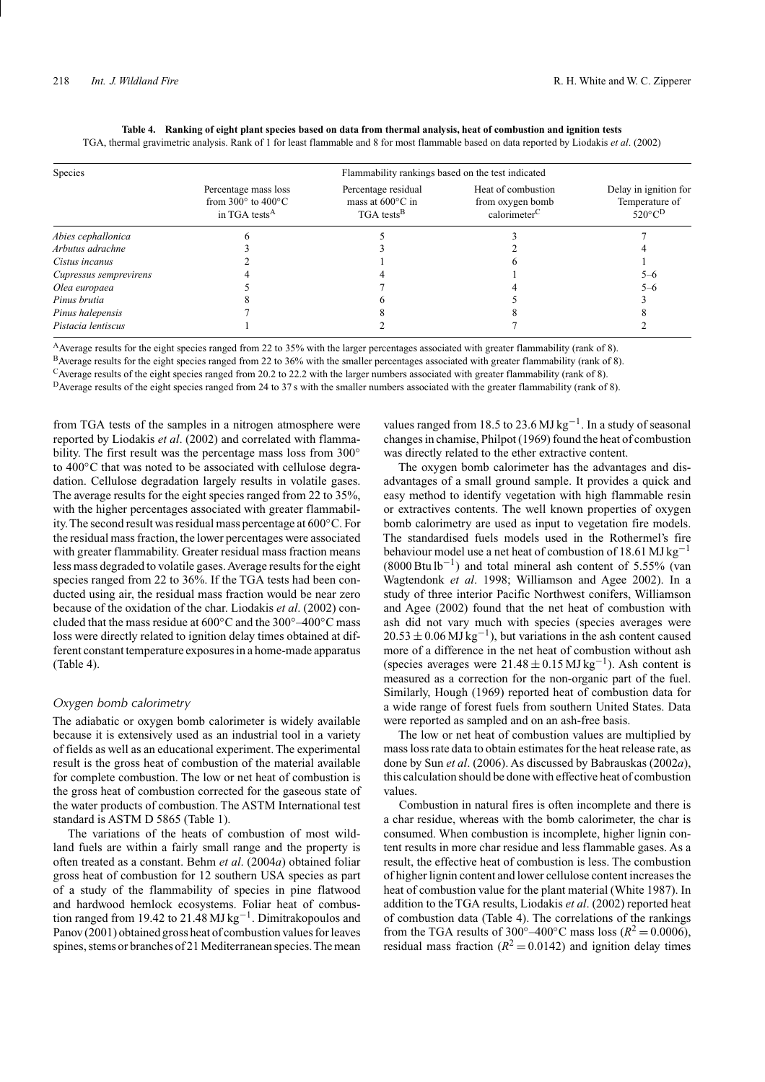| Species                | Flammability rankings based on the test indicated                                          |                                                                               |                                                                    |                                                                         |  |
|------------------------|--------------------------------------------------------------------------------------------|-------------------------------------------------------------------------------|--------------------------------------------------------------------|-------------------------------------------------------------------------|--|
|                        | Percentage mass loss<br>from $300^{\circ}$ to $400^{\circ}$ C<br>in TGA tests <sup>A</sup> | Percentage residual<br>mass at $600^{\circ}$ C in<br>$TGA$ tests <sup>B</sup> | Heat of combustion<br>from oxygen bomb<br>calorimeter <sup>C</sup> | Delay in ignition for<br>Temperature of<br>$520^{\circ}$ C <sup>D</sup> |  |
| Abies cephallonica     |                                                                                            |                                                                               |                                                                    |                                                                         |  |
| Arbutus adrachne       |                                                                                            |                                                                               |                                                                    |                                                                         |  |
| Cistus incanus         |                                                                                            |                                                                               |                                                                    |                                                                         |  |
| Cupressus semprevirens |                                                                                            |                                                                               |                                                                    | $5 - 6$                                                                 |  |
| Olea europaea          |                                                                                            |                                                                               |                                                                    | $5 - 6$                                                                 |  |
| Pinus brutia           |                                                                                            |                                                                               |                                                                    |                                                                         |  |
| Pinus halepensis       |                                                                                            |                                                                               |                                                                    |                                                                         |  |
| Pistacia lentiscus     |                                                                                            |                                                                               |                                                                    |                                                                         |  |

**Table 4. Ranking of eight plant species based on data from thermal analysis, heat of combustion and ignition tests** TGA, thermal gravimetric analysis. Rank of 1 for least flammable and 8 for most flammable based on data reported by Liodakis *et al*. (2002)

AAverage results for the eight species ranged from 22 to 35% with the larger percentages associated with greater flammability (rank of 8).

BAverage results for the eight species ranged from 22 to 36% with the smaller percentages associated with greater flammability (rank of 8).

CAverage results of the eight species ranged from 20.2 to 22.2 with the larger numbers associated with greater flammability (rank of 8).

DAverage results of the eight species ranged from 24 to 37 s with the smaller numbers associated with the greater flammability (rank of 8).

from TGA tests of the samples in a nitrogen atmosphere were reported by Liodakis *et al*. (2002) and correlated with flammability. The first result was the percentage mass loss from 300° to 400◦C that was noted to be associated with cellulose degradation. Cellulose degradation largely results in volatile gases. The average results for the eight species ranged from 22 to 35%, with the higher percentages associated with greater flammability.The second result was residual mass percentage at 600◦C. For the residual mass fraction, the lower percentages were associated with greater flammability. Greater residual mass fraction means less mass degraded to volatile gases.Average results for the eight species ranged from 22 to 36%. If the TGA tests had been conducted using air, the residual mass fraction would be near zero because of the oxidation of the char. Liodakis *et al*. (2002) concluded that the mass residue at 600◦C and the 300◦–400◦C mass loss were directly related to ignition delay times obtained at different constant temperature exposures in a home-made apparatus (Table 4).

# *Oxygen bomb calorimetry*

The adiabatic or oxygen bomb calorimeter is widely available because it is extensively used as an industrial tool in a variety of fields as well as an educational experiment. The experimental result is the gross heat of combustion of the material available for complete combustion. The low or net heat of combustion is the gross heat of combustion corrected for the gaseous state of the water products of combustion. The ASTM International test standard is ASTM D 5865 (Table 1).

The variations of the heats of combustion of most wildland fuels are within a fairly small range and the property is often treated as a constant. Behm *et al*. (2004*a*) obtained foliar gross heat of combustion for 12 southern USA species as part of a study of the flammability of species in pine flatwood and hardwood hemlock ecosystems. Foliar heat of combustion ranged from 19.42 to 21.48 MJ kg<sup>-1</sup>. Dimitrakopoulos and Panov (2001) obtained gross heat of combustion values for leaves spines, stems or branches of 21 Mediterranean species.The mean

values ranged from 18.5 to 23.6 MJ kg<sup>-1</sup>. In a study of seasonal changes in chamise, Philpot (1969) found the heat of combustion was directly related to the ether extractive content.

The oxygen bomb calorimeter has the advantages and disadvantages of a small ground sample. It provides a quick and easy method to identify vegetation with high flammable resin or extractives contents. The well known properties of oxygen bomb calorimetry are used as input to vegetation fire models. The standardised fuels models used in the Rothermel's fire behaviour model use a net heat of combustion of 18.61 MJ kg<sup>-1</sup>  $(8000 \text{ Btu} \cdot \text{lb}^{-1})$  and total mineral ash content of 5.55% (van Wagtendonk *et al*. 1998; Williamson and Agee 2002). In a study of three interior Pacific Northwest conifers, Williamson and Agee (2002) found that the net heat of combustion with ash did not vary much with species (species averages were  $20.53 \pm 0.06$  MJ kg<sup>-1</sup>), but variations in the ash content caused more of a difference in the net heat of combustion without ash (species averages were  $21.48 \pm 0.15 \,\mathrm{MJ\,kg^{-1}}$ ). Ash content is measured as a correction for the non-organic part of the fuel. Similarly, Hough (1969) reported heat of combustion data for a wide range of forest fuels from southern United States. Data were reported as sampled and on an ash-free basis.

The low or net heat of combustion values are multiplied by mass loss rate data to obtain estimates for the heat release rate, as done by Sun *et al*. (2006). As discussed by Babrauskas (2002*a*), this calculation should be done with effective heat of combustion values.

Combustion in natural fires is often incomplete and there is a char residue, whereas with the bomb calorimeter, the char is consumed. When combustion is incomplete, higher lignin content results in more char residue and less flammable gases. As a result, the effective heat of combustion is less. The combustion of higher lignin content and lower cellulose content increases the heat of combustion value for the plant material (White 1987). In addition to the TGA results, Liodakis *et al*. (2002) reported heat of combustion data (Table 4). The correlations of the rankings from the TGA results of 300<sup>°</sup>–400<sup>°</sup>C mass loss ( $R^2 = 0.0006$ ), residual mass fraction  $(R^2 = 0.0142)$  and ignition delay times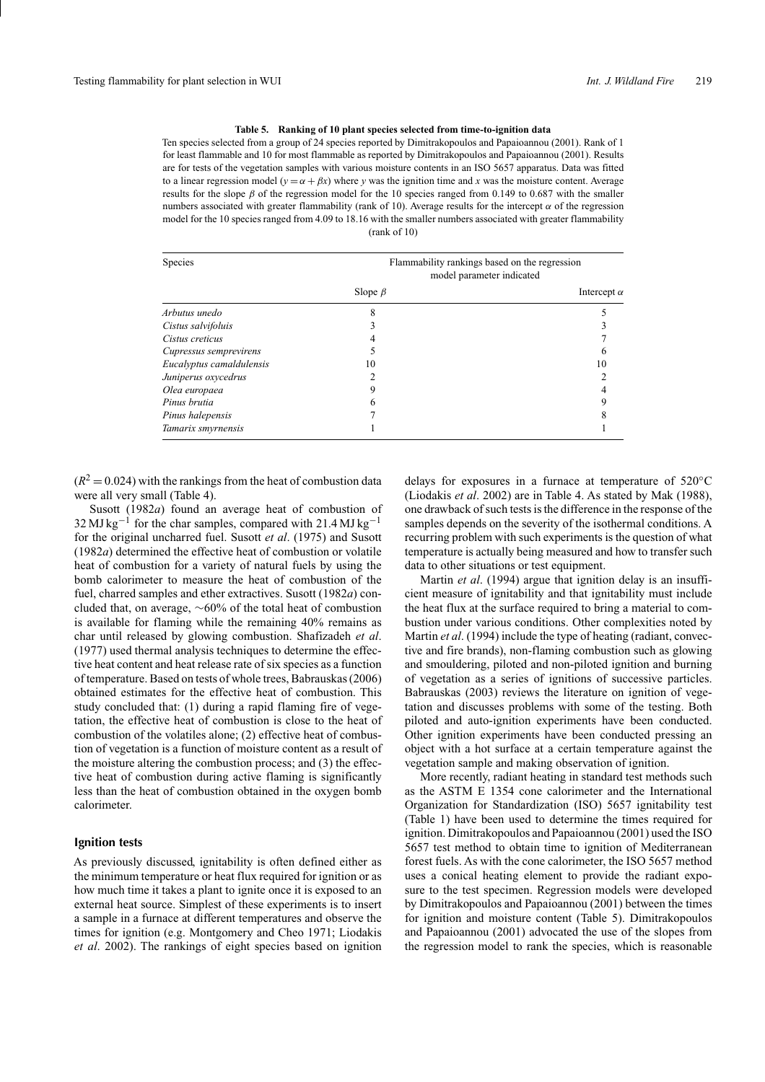#### **Table 5. Ranking of 10 plant species selected from time-to-ignition data**

Ten species selected from a group of 24 species reported by Dimitrakopoulos and Papaioannou (2001). Rank of 1 for least flammable and 10 for most flammable as reported by Dimitrakopoulos and Papaioannou (2001). Results are for tests of the vegetation samples with various moisture contents in an ISO 5657 apparatus. Data was fitted to a linear regression model ( $y = \alpha + \beta x$ ) where *y* was the ignition time and *x* was the moisture content. Average results for the slope *β* of the regression model for the 10 species ranged from 0.149 to 0.687 with the smaller numbers associated with greater flammability (rank of 10). Average results for the intercept *α* of the regression model for the 10 species ranged from 4.09 to 18.16 with the smaller numbers associated with greater flammability (rank of 10)

| Species                  | Flammability rankings based on the regression<br>model parameter indicated |                    |  |
|--------------------------|----------------------------------------------------------------------------|--------------------|--|
|                          | Slope $\beta$                                                              | Intercept $\alpha$ |  |
| Arbutus unedo            |                                                                            |                    |  |
| Cistus salvifoluis       |                                                                            |                    |  |
| Cistus creticus          |                                                                            |                    |  |
| Cupressus semprevirens   |                                                                            |                    |  |
| Eucalyptus camaldulensis | 10                                                                         | 10                 |  |
| Juniperus oxycedrus      |                                                                            |                    |  |
| Olea europaea            |                                                                            |                    |  |
| Pinus brutia             |                                                                            |                    |  |
| Pinus halepensis         |                                                                            |                    |  |
| Tamarix smyrnensis       |                                                                            |                    |  |

 $(R^2 = 0.024)$  with the rankings from the heat of combustion data were all very small (Table 4).

Susott (1982*a*) found an average heat of combustion of  $32$  MJ kg<sup>-1</sup> for the char samples, compared with 21.4 MJ kg<sup>-1</sup> for the original uncharred fuel. Susott *et al*. (1975) and Susott (1982*a*) determined the effective heat of combustion or volatile heat of combustion for a variety of natural fuels by using the bomb calorimeter to measure the heat of combustion of the fuel, charred samples and ether extractives. Susott (1982*a*) concluded that, on average, ∼60% of the total heat of combustion is available for flaming while the remaining 40% remains as char until released by glowing combustion. Shafizadeh *et al*. (1977) used thermal analysis techniques to determine the effective heat content and heat release rate of six species as a function of temperature. Based on tests of whole trees, Babrauskas (2006) obtained estimates for the effective heat of combustion. This study concluded that: (1) during a rapid flaming fire of vegetation, the effective heat of combustion is close to the heat of combustion of the volatiles alone; (2) effective heat of combustion of vegetation is a function of moisture content as a result of the moisture altering the combustion process; and (3) the effective heat of combustion during active flaming is significantly less than the heat of combustion obtained in the oxygen bomb calorimeter.

# **Ignition tests**

As previously discussed, ignitability is often defined either as the minimum temperature or heat flux required for ignition or as how much time it takes a plant to ignite once it is exposed to an external heat source. Simplest of these experiments is to insert a sample in a furnace at different temperatures and observe the times for ignition (e.g. Montgomery and Cheo 1971; Liodakis *et al*. 2002). The rankings of eight species based on ignition delays for exposures in a furnace at temperature of 520◦C (Liodakis *et al*. 2002) are in Table 4. As stated by Mak (1988), one drawback of such tests is the difference in the response of the samples depends on the severity of the isothermal conditions. A recurring problem with such experiments is the question of what temperature is actually being measured and how to transfer such data to other situations or test equipment.

Martin *et al*. (1994) argue that ignition delay is an insufficient measure of ignitability and that ignitability must include the heat flux at the surface required to bring a material to combustion under various conditions. Other complexities noted by Martin *et al*. (1994) include the type of heating (radiant, convective and fire brands), non-flaming combustion such as glowing and smouldering, piloted and non-piloted ignition and burning of vegetation as a series of ignitions of successive particles. Babrauskas (2003) reviews the literature on ignition of vegetation and discusses problems with some of the testing. Both piloted and auto-ignition experiments have been conducted. Other ignition experiments have been conducted pressing an object with a hot surface at a certain temperature against the vegetation sample and making observation of ignition.

More recently, radiant heating in standard test methods such as the ASTM E 1354 cone calorimeter and the International Organization for Standardization (ISO) 5657 ignitability test (Table 1) have been used to determine the times required for ignition. Dimitrakopoulos and Papaioannou (2001) used the ISO 5657 test method to obtain time to ignition of Mediterranean forest fuels. As with the cone calorimeter, the ISO 5657 method uses a conical heating element to provide the radiant exposure to the test specimen. Regression models were developed by Dimitrakopoulos and Papaioannou (2001) between the times for ignition and moisture content (Table 5). Dimitrakopoulos and Papaioannou (2001) advocated the use of the slopes from the regression model to rank the species, which is reasonable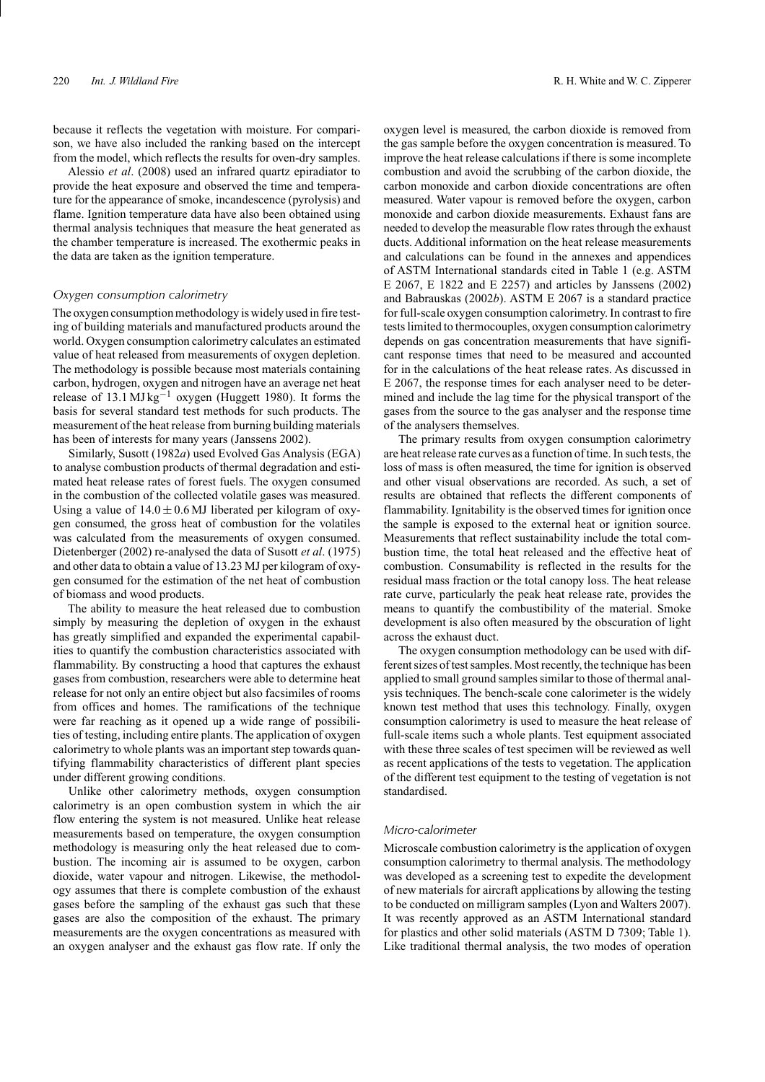because it reflects the vegetation with moisture. For comparison, we have also included the ranking based on the intercept from the model, which reflects the results for oven-dry samples.

Alessio *et al*. (2008) used an infrared quartz epiradiator to provide the heat exposure and observed the time and temperature for the appearance of smoke, incandescence (pyrolysis) and flame. Ignition temperature data have also been obtained using thermal analysis techniques that measure the heat generated as the chamber temperature is increased. The exothermic peaks in the data are taken as the ignition temperature.

#### *Oxygen consumption calorimetry*

The oxygen consumption methodology is widely used in fire testing of building materials and manufactured products around the world. Oxygen consumption calorimetry calculates an estimated value of heat released from measurements of oxygen depletion. The methodology is possible because most materials containing carbon, hydrogen, oxygen and nitrogen have an average net heat release of 13.1 MJ kg−<sup>1</sup> oxygen (Huggett 1980). It forms the basis for several standard test methods for such products. The measurement of the heat release from burning building materials has been of interests for many years (Janssens 2002).

Similarly, Susott (1982*a*) used Evolved Gas Analysis (EGA) to analyse combustion products of thermal degradation and estimated heat release rates of forest fuels. The oxygen consumed in the combustion of the collected volatile gases was measured. Using a value of  $14.0 \pm 0.6$  MJ liberated per kilogram of oxygen consumed, the gross heat of combustion for the volatiles was calculated from the measurements of oxygen consumed. Dietenberger (2002) re-analysed the data of Susott *et al*. (1975) and other data to obtain a value of 13.23 MJ per kilogram of oxygen consumed for the estimation of the net heat of combustion of biomass and wood products.

The ability to measure the heat released due to combustion simply by measuring the depletion of oxygen in the exhaust has greatly simplified and expanded the experimental capabilities to quantify the combustion characteristics associated with flammability. By constructing a hood that captures the exhaust gases from combustion, researchers were able to determine heat release for not only an entire object but also facsimiles of rooms from offices and homes. The ramifications of the technique were far reaching as it opened up a wide range of possibilities of testing, including entire plants. The application of oxygen calorimetry to whole plants was an important step towards quantifying flammability characteristics of different plant species under different growing conditions.

Unlike other calorimetry methods, oxygen consumption calorimetry is an open combustion system in which the air flow entering the system is not measured. Unlike heat release measurements based on temperature, the oxygen consumption methodology is measuring only the heat released due to combustion. The incoming air is assumed to be oxygen, carbon dioxide, water vapour and nitrogen. Likewise, the methodology assumes that there is complete combustion of the exhaust gases before the sampling of the exhaust gas such that these gases are also the composition of the exhaust. The primary measurements are the oxygen concentrations as measured with an oxygen analyser and the exhaust gas flow rate. If only the

oxygen level is measured, the carbon dioxide is removed from the gas sample before the oxygen concentration is measured. To improve the heat release calculations if there is some incomplete combustion and avoid the scrubbing of the carbon dioxide, the carbon monoxide and carbon dioxide concentrations are often measured. Water vapour is removed before the oxygen, carbon monoxide and carbon dioxide measurements. Exhaust fans are needed to develop the measurable flow rates through the exhaust ducts. Additional information on the heat release measurements and calculations can be found in the annexes and appendices of ASTM International standards cited in Table 1 (e.g. ASTM E 2067, E 1822 and E 2257) and articles by Janssens (2002) and Babrauskas (2002*b*). ASTM E 2067 is a standard practice for full-scale oxygen consumption calorimetry. In contrast to fire tests limited to thermocouples, oxygen consumption calorimetry depends on gas concentration measurements that have significant response times that need to be measured and accounted for in the calculations of the heat release rates. As discussed in E 2067, the response times for each analyser need to be determined and include the lag time for the physical transport of the gases from the source to the gas analyser and the response time of the analysers themselves.

The primary results from oxygen consumption calorimetry are heat release rate curves as a function of time. In such tests, the loss of mass is often measured, the time for ignition is observed and other visual observations are recorded. As such, a set of results are obtained that reflects the different components of flammability. Ignitability is the observed times for ignition once the sample is exposed to the external heat or ignition source. Measurements that reflect sustainability include the total combustion time, the total heat released and the effective heat of combustion. Consumability is reflected in the results for the residual mass fraction or the total canopy loss. The heat release rate curve, particularly the peak heat release rate, provides the means to quantify the combustibility of the material. Smoke development is also often measured by the obscuration of light across the exhaust duct.

The oxygen consumption methodology can be used with different sizes of test samples. Most recently, the technique has been applied to small ground samples similar to those of thermal analysis techniques. The bench-scale cone calorimeter is the widely known test method that uses this technology. Finally, oxygen consumption calorimetry is used to measure the heat release of full-scale items such a whole plants. Test equipment associated with these three scales of test specimen will be reviewed as well as recent applications of the tests to vegetation. The application of the different test equipment to the testing of vegetation is not standardised.

## *Micro-calorimeter*

Microscale combustion calorimetry is the application of oxygen consumption calorimetry to thermal analysis. The methodology was developed as a screening test to expedite the development of new materials for aircraft applications by allowing the testing to be conducted on milligram samples (Lyon and Walters 2007). It was recently approved as an ASTM International standard for plastics and other solid materials (ASTM D 7309; Table 1). Like traditional thermal analysis, the two modes of operation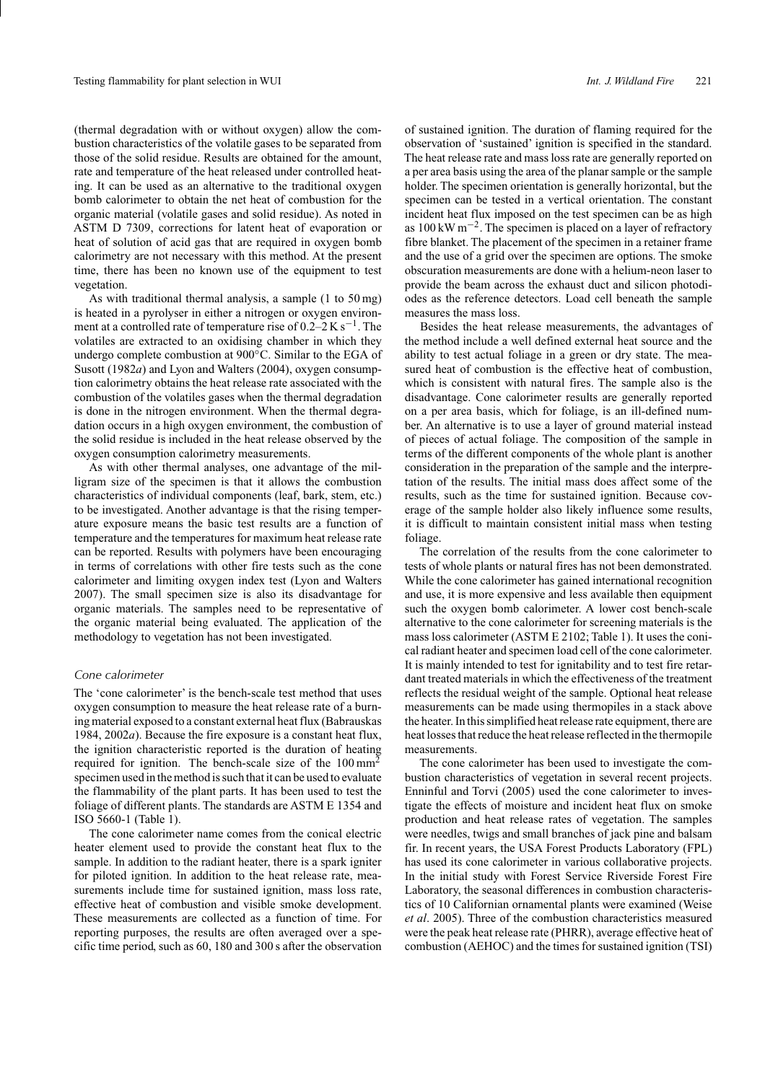(thermal degradation with or without oxygen) allow the combustion characteristics of the volatile gases to be separated from those of the solid residue. Results are obtained for the amount, rate and temperature of the heat released under controlled heating. It can be used as an alternative to the traditional oxygen bomb calorimeter to obtain the net heat of combustion for the organic material (volatile gases and solid residue). As noted in ASTM D 7309, corrections for latent heat of evaporation or heat of solution of acid gas that are required in oxygen bomb calorimetry are not necessary with this method. At the present time, there has been no known use of the equipment to test vegetation.

As with traditional thermal analysis, a sample (1 to 50 mg) is heated in a pyrolyser in either a nitrogen or oxygen environment at a controlled rate of temperature rise of  $0.2-2$  K s<sup>-1</sup>. The volatiles are extracted to an oxidising chamber in which they undergo complete combustion at 900◦C. Similar to the EGA of Susott (1982*a*) and Lyon and Walters (2004), oxygen consumption calorimetry obtains the heat release rate associated with the combustion of the volatiles gases when the thermal degradation is done in the nitrogen environment. When the thermal degradation occurs in a high oxygen environment, the combustion of the solid residue is included in the heat release observed by the oxygen consumption calorimetry measurements.

As with other thermal analyses, one advantage of the milligram size of the specimen is that it allows the combustion characteristics of individual components (leaf, bark, stem, etc.) to be investigated. Another advantage is that the rising temperature exposure means the basic test results are a function of temperature and the temperatures for maximum heat release rate can be reported. Results with polymers have been encouraging in terms of correlations with other fire tests such as the cone calorimeter and limiting oxygen index test (Lyon and Walters 2007). The small specimen size is also its disadvantage for organic materials. The samples need to be representative of the organic material being evaluated. The application of the methodology to vegetation has not been investigated.

# *Cone calorimeter*

The 'cone calorimeter' is the bench-scale test method that uses oxygen consumption to measure the heat release rate of a burning material exposed to a constant external heat flux (Babrauskas 1984, 2002*a*). Because the fire exposure is a constant heat flux, the ignition characteristic reported is the duration of heating required for ignition. The bench-scale size of the 100 mm<sup>2</sup> specimen used in themethod is such that it can be used to evaluate the flammability of the plant parts. It has been used to test the foliage of different plants. The standards are ASTM E 1354 and ISO 5660-1 (Table 1).

The cone calorimeter name comes from the conical electric heater element used to provide the constant heat flux to the sample. In addition to the radiant heater, there is a spark igniter for piloted ignition. In addition to the heat release rate, measurements include time for sustained ignition, mass loss rate, effective heat of combustion and visible smoke development. These measurements are collected as a function of time. For reporting purposes, the results are often averaged over a specific time period, such as 60, 180 and 300 s after the observation of sustained ignition. The duration of flaming required for the observation of 'sustained' ignition is specified in the standard. The heat release rate and mass loss rate are generally reported on a per area basis using the area of the planar sample or the sample holder. The specimen orientation is generally horizontal, but the specimen can be tested in a vertical orientation. The constant incident heat flux imposed on the test specimen can be as high as  $100 \text{ kW m}^{-2}$ . The specimen is placed on a layer of refractory fibre blanket. The placement of the specimen in a retainer frame and the use of a grid over the specimen are options. The smoke obscuration measurements are done with a helium-neon laser to provide the beam across the exhaust duct and silicon photodiodes as the reference detectors. Load cell beneath the sample measures the mass loss.

Besides the heat release measurements, the advantages of the method include a well defined external heat source and the ability to test actual foliage in a green or dry state. The measured heat of combustion is the effective heat of combustion, which is consistent with natural fires. The sample also is the disadvantage. Cone calorimeter results are generally reported on a per area basis, which for foliage, is an ill-defined number. An alternative is to use a layer of ground material instead of pieces of actual foliage. The composition of the sample in terms of the different components of the whole plant is another consideration in the preparation of the sample and the interpretation of the results. The initial mass does affect some of the results, such as the time for sustained ignition. Because coverage of the sample holder also likely influence some results, it is difficult to maintain consistent initial mass when testing foliage.

The correlation of the results from the cone calorimeter to tests of whole plants or natural fires has not been demonstrated. While the cone calorimeter has gained international recognition and use, it is more expensive and less available then equipment such the oxygen bomb calorimeter. A lower cost bench-scale alternative to the cone calorimeter for screening materials is the mass loss calorimeter (ASTM E 2102; Table 1). It uses the conical radiant heater and specimen load cell of the cone calorimeter. It is mainly intended to test for ignitability and to test fire retardant treated materials in which the effectiveness of the treatment reflects the residual weight of the sample. Optional heat release measurements can be made using thermopiles in a stack above the heater. In this simplified heat release rate equipment, there are heat losses that reduce the heat release reflected in the thermopile measurements.

The cone calorimeter has been used to investigate the combustion characteristics of vegetation in several recent projects. Enninful and Torvi (2005) used the cone calorimeter to investigate the effects of moisture and incident heat flux on smoke production and heat release rates of vegetation. The samples were needles, twigs and small branches of jack pine and balsam fir. In recent years, the USA Forest Products Laboratory (FPL) has used its cone calorimeter in various collaborative projects. In the initial study with Forest Service Riverside Forest Fire Laboratory, the seasonal differences in combustion characteristics of 10 Californian ornamental plants were examined (Weise *et al*. 2005). Three of the combustion characteristics measured were the peak heat release rate (PHRR), average effective heat of combustion (AEHOC) and the times for sustained ignition (TSI)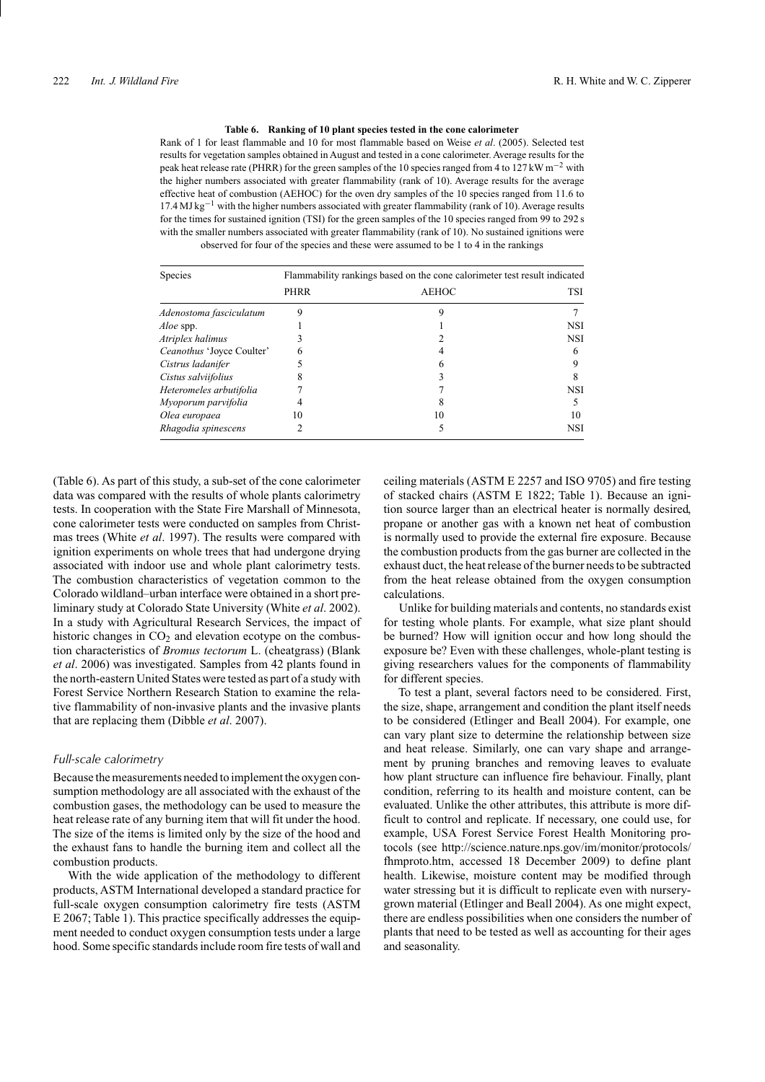#### **Table 6. Ranking of 10 plant species tested in the cone calorimeter**

Rank of 1 for least flammable and 10 for most flammable based on Weise *et al*. (2005). Selected test results for vegetation samples obtained in August and tested in a cone calorimeter. Average results for the peak heat release rate (PHRR) for the green samples of the 10 species ranged from 4 to 127 kW m−<sup>2</sup> with the higher numbers associated with greater flammability (rank of 10). Average results for the average effective heat of combustion (AEHOC) for the oven dry samples of the 10 species ranged from 11.6 to 17.4 MJ kg<sup>-1</sup> with the higher numbers associated with greater flammability (rank of 10). Average results for the times for sustained ignition (TSI) for the green samples of the 10 species ranged from 99 to 292 s with the smaller numbers associated with greater flammability (rank of 10). No sustained ignitions were observed for four of the species and these were assumed to be 1 to 4 in the rankings

| Species                   | Flammability rankings based on the cone calorimeter test result indicated |              |            |
|---------------------------|---------------------------------------------------------------------------|--------------|------------|
|                           | PHRR                                                                      | <b>AEHOC</b> | <b>TSI</b> |
| Adenostoma fasciculatum   | Q                                                                         |              |            |
| Aloe spp.                 |                                                                           |              | <b>NSI</b> |
| Atriplex halimus          |                                                                           |              | <b>NSI</b> |
| Ceanothus 'Joyce Coulter' | 6                                                                         |              |            |
| Cistrus ladanifer         |                                                                           |              |            |
| Cistus salviifolius       |                                                                           |              |            |
| Heteromeles arbutifolia   |                                                                           |              | <b>NSI</b> |
| Myoporum parvifolia       |                                                                           |              |            |
| Olea europaea             | 10                                                                        | 10           | 10         |
| Rhagodia spinescens       |                                                                           |              | NSI        |

(Table 6). As part of this study, a sub-set of the cone calorimeter data was compared with the results of whole plants calorimetry tests. In cooperation with the State Fire Marshall of Minnesota, cone calorimeter tests were conducted on samples from Christmas trees (White *et al*. 1997). The results were compared with ignition experiments on whole trees that had undergone drying associated with indoor use and whole plant calorimetry tests. The combustion characteristics of vegetation common to the Colorado wildland–urban interface were obtained in a short preliminary study at Colorado State University (White *et al*. 2002). In a study with Agricultural Research Services, the impact of historic changes in  $CO<sub>2</sub>$  and elevation ecotype on the combustion characteristics of *Bromus tectorum* L. (cheatgrass) (Blank *et al*. 2006) was investigated. Samples from 42 plants found in the north-eastern United States were tested as part of a study with Forest Service Northern Research Station to examine the relative flammability of non-invasive plants and the invasive plants that are replacing them (Dibble *et al*. 2007).

## *Full-scale calorimetry*

Because the measurements needed to implement the oxygen consumption methodology are all associated with the exhaust of the combustion gases, the methodology can be used to measure the heat release rate of any burning item that will fit under the hood. The size of the items is limited only by the size of the hood and the exhaust fans to handle the burning item and collect all the combustion products.

With the wide application of the methodology to different products, ASTM International developed a standard practice for full-scale oxygen consumption calorimetry fire tests (ASTM E 2067; Table 1). This practice specifically addresses the equipment needed to conduct oxygen consumption tests under a large hood. Some specific standards include room fire tests of wall and ceiling materials (ASTM E 2257 and ISO 9705) and fire testing of stacked chairs (ASTM E 1822; Table 1). Because an ignition source larger than an electrical heater is normally desired, propane or another gas with a known net heat of combustion is normally used to provide the external fire exposure. Because the combustion products from the gas burner are collected in the exhaust duct, the heat release of the burner needs to be subtracted from the heat release obtained from the oxygen consumption calculations.

Unlike for building materials and contents, no standards exist for testing whole plants. For example, what size plant should be burned? How will ignition occur and how long should the exposure be? Even with these challenges, whole-plant testing is giving researchers values for the components of flammability for different species.

To test a plant, several factors need to be considered. First, the size, shape, arrangement and condition the plant itself needs to be considered (Etlinger and Beall 2004). For example, one can vary plant size to determine the relationship between size and heat release. Similarly, one can vary shape and arrangement by pruning branches and removing leaves to evaluate how plant structure can influence fire behaviour. Finally, plant condition, referring to its health and moisture content, can be evaluated. Unlike the other attributes, this attribute is more difficult to control and replicate. If necessary, one could use, for example, USA Forest Service Forest Health Monitoring protocols (see [http://science.nature.nps.gov/im/monitor/protocols/](http://science.nature.nps.gov/im/monitor/protocols/fhmproto.htm) [fhmproto.htm,](http://science.nature.nps.gov/im/monitor/protocols/fhmproto.htm) accessed 18 December 2009) to define plant health. Likewise, moisture content may be modified through water stressing but it is difficult to replicate even with nurserygrown material (Etlinger and Beall 2004). As one might expect, there are endless possibilities when one considers the number of plants that need to be tested as well as accounting for their ages and seasonality.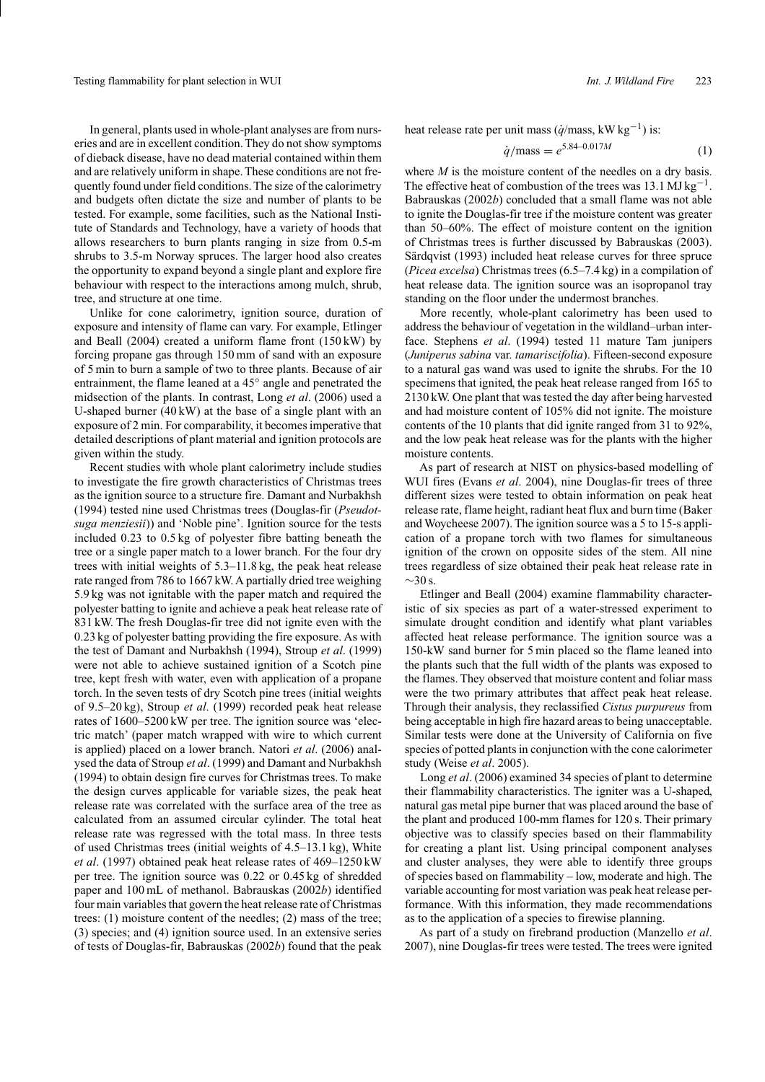In general, plants used in whole-plant analyses are from nurseries and are in excellent condition. They do not show symptoms of dieback disease, have no dead material contained within them and are relatively uniform in shape. These conditions are not frequently found under field conditions. The size of the calorimetry and budgets often dictate the size and number of plants to be tested. For example, some facilities, such as the National Institute of Standards and Technology, have a variety of hoods that allows researchers to burn plants ranging in size from 0.5-m shrubs to 3.5-m Norway spruces. The larger hood also creates the opportunity to expand beyond a single plant and explore fire behaviour with respect to the interactions among mulch, shrub, tree, and structure at one time.

Unlike for cone calorimetry, ignition source, duration of exposure and intensity of flame can vary. For example, Etlinger and Beall (2004) created a uniform flame front (150 kW) by forcing propane gas through 150 mm of sand with an exposure of 5 min to burn a sample of two to three plants. Because of air entrainment, the flame leaned at a 45◦ angle and penetrated the midsection of the plants. In contrast, Long *et al*. (2006) used a U-shaped burner (40 kW) at the base of a single plant with an exposure of 2 min. For comparability, it becomes imperative that detailed descriptions of plant material and ignition protocols are given within the study.

Recent studies with whole plant calorimetry include studies to investigate the fire growth characteristics of Christmas trees as the ignition source to a structure fire. Damant and Nurbakhsh (1994) tested nine used Christmas trees (Douglas-fir (*Pseudotsuga menziesii*)) and 'Noble pine'. Ignition source for the tests included 0.23 to 0.5 kg of polyester fibre batting beneath the tree or a single paper match to a lower branch. For the four dry trees with initial weights of 5.3–11.8 kg, the peak heat release rate ranged from 786 to 1667 kW. A partially dried tree weighing 5.9 kg was not ignitable with the paper match and required the polyester batting to ignite and achieve a peak heat release rate of 831 kW. The fresh Douglas-fir tree did not ignite even with the 0.23 kg of polyester batting providing the fire exposure. As with the test of Damant and Nurbakhsh (1994), Stroup *et al*. (1999) were not able to achieve sustained ignition of a Scotch pine tree, kept fresh with water, even with application of a propane torch. In the seven tests of dry Scotch pine trees (initial weights of 9.5–20 kg), Stroup *et al*. (1999) recorded peak heat release rates of 1600–5200 kW per tree. The ignition source was 'electric match' (paper match wrapped with wire to which current is applied) placed on a lower branch. Natori *et al*. (2006) analysed the data of Stroup *et al*. (1999) and Damant and Nurbakhsh (1994) to obtain design fire curves for Christmas trees. To make the design curves applicable for variable sizes, the peak heat release rate was correlated with the surface area of the tree as calculated from an assumed circular cylinder. The total heat release rate was regressed with the total mass. In three tests of used Christmas trees (initial weights of 4.5–13.1 kg), White *et al*. (1997) obtained peak heat release rates of 469–1250 kW per tree. The ignition source was 0.22 or 0.45 kg of shredded paper and 100 mL of methanol. Babrauskas (2002*b*) identified four main variables that govern the heat release rate of Christmas trees: (1) moisture content of the needles; (2) mass of the tree; (3) species; and (4) ignition source used. In an extensive series of tests of Douglas-fir, Babrauskas (2002*b*) found that the peak

heat release rate per unit mass (*q*˙/mass, kW kg<sup>−</sup>1) is:

$$
\dot{q}/\text{mass} = e^{5.84 - 0.017M} \tag{1}
$$

where *M* is the moisture content of the needles on a dry basis. The effective heat of combustion of the trees was 13.1 MJ  $kg^{-1}$ . Babrauskas (2002*b*) concluded that a small flame was not able to ignite the Douglas-fir tree if the moisture content was greater than 50–60%. The effect of moisture content on the ignition of Christmas trees is further discussed by Babrauskas (2003). Särdqvist (1993) included heat release curves for three spruce (*Picea excelsa*) Christmas trees (6.5–7.4 kg) in a compilation of heat release data. The ignition source was an isopropanol tray standing on the floor under the undermost branches.

More recently, whole-plant calorimetry has been used to address the behaviour of vegetation in the wildland–urban interface. Stephens *et al*. (1994) tested 11 mature Tam junipers (*Juniperus sabina* var. *tamariscifolia*). Fifteen-second exposure to a natural gas wand was used to ignite the shrubs. For the 10 specimens that ignited, the peak heat release ranged from 165 to 2130 kW. One plant that was tested the day after being harvested and had moisture content of 105% did not ignite. The moisture contents of the 10 plants that did ignite ranged from 31 to 92%, and the low peak heat release was for the plants with the higher moisture contents.

As part of research at NIST on physics-based modelling of WUI fires (Evans *et al*. 2004), nine Douglas-fir trees of three different sizes were tested to obtain information on peak heat release rate, flame height, radiant heat flux and burn time (Baker and Woycheese 2007). The ignition source was a 5 to 15-s application of a propane torch with two flames for simultaneous ignition of the crown on opposite sides of the stem. All nine trees regardless of size obtained their peak heat release rate in  $\sim$ 30 s.

Etlinger and Beall (2004) examine flammability characteristic of six species as part of a water-stressed experiment to simulate drought condition and identify what plant variables affected heat release performance. The ignition source was a 150-kW sand burner for 5 min placed so the flame leaned into the plants such that the full width of the plants was exposed to the flames. They observed that moisture content and foliar mass were the two primary attributes that affect peak heat release. Through their analysis, they reclassified *Cistus purpureus* from being acceptable in high fire hazard areas to being unacceptable. Similar tests were done at the University of California on five species of potted plants in conjunction with the cone calorimeter study (Weise *et al*. 2005).

Long *et al*. (2006) examined 34 species of plant to determine their flammability characteristics. The igniter was a U-shaped, natural gas metal pipe burner that was placed around the base of the plant and produced 100-mm flames for 120 s. Their primary objective was to classify species based on their flammability for creating a plant list. Using principal component analyses and cluster analyses, they were able to identify three groups of species based on flammability – low, moderate and high. The variable accounting for most variation was peak heat release performance. With this information, they made recommendations as to the application of a species to firewise planning.

As part of a study on firebrand production (Manzello *et al*. 2007), nine Douglas-fir trees were tested. The trees were ignited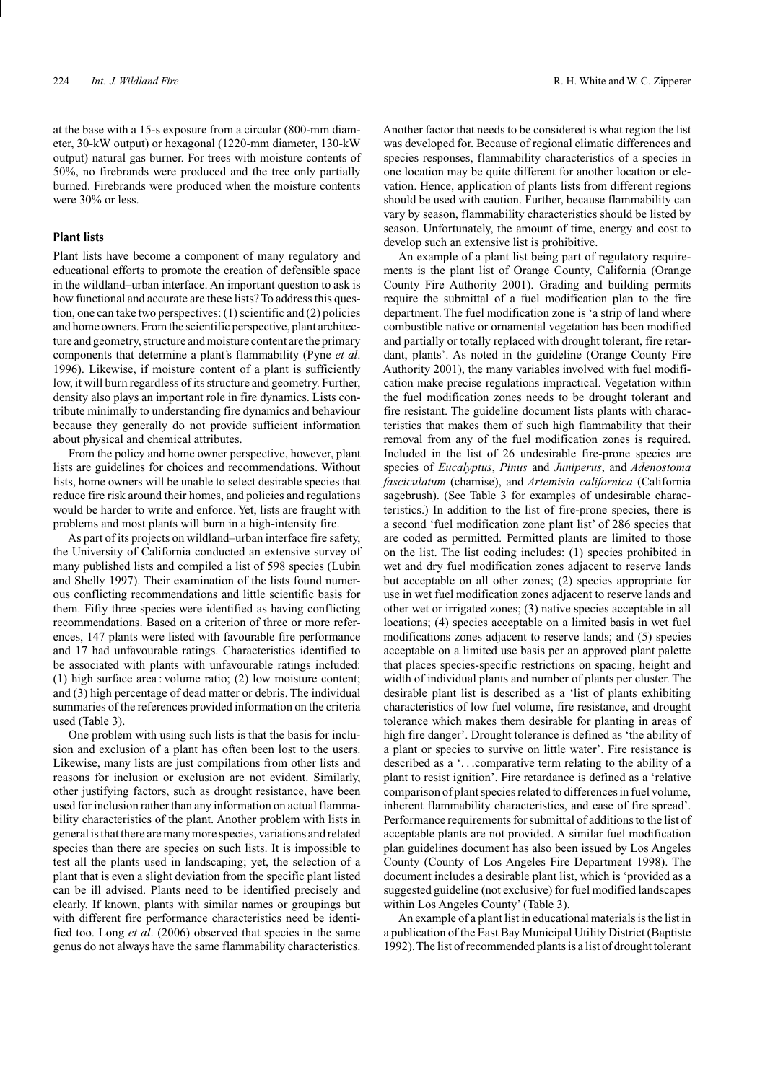at the base with a 15-s exposure from a circular (800-mm diameter, 30-kW output) or hexagonal (1220-mm diameter, 130-kW output) natural gas burner. For trees with moisture contents of 50%, no firebrands were produced and the tree only partially burned. Firebrands were produced when the moisture contents were 30% or less.

# **Plant lists**

Plant lists have become a component of many regulatory and educational efforts to promote the creation of defensible space in the wildland–urban interface. An important question to ask is how functional and accurate are these lists? To address this question, one can take two perspectives: (1) scientific and (2) policies and home owners. From the scientific perspective, plant architecture and geometry, structure and moisture content are the primary components that determine a plant's flammability (Pyne *et al*. 1996). Likewise, if moisture content of a plant is sufficiently low, it will burn regardless of its structure and geometry. Further, density also plays an important role in fire dynamics. Lists contribute minimally to understanding fire dynamics and behaviour because they generally do not provide sufficient information about physical and chemical attributes.

From the policy and home owner perspective, however, plant lists are guidelines for choices and recommendations. Without lists, home owners will be unable to select desirable species that reduce fire risk around their homes, and policies and regulations would be harder to write and enforce. Yet, lists are fraught with problems and most plants will burn in a high-intensity fire.

As part of its projects on wildland–urban interface fire safety, the University of California conducted an extensive survey of many published lists and compiled a list of 598 species (Lubin and Shelly 1997). Their examination of the lists found numerous conflicting recommendations and little scientific basis for them. Fifty three species were identified as having conflicting recommendations. Based on a criterion of three or more references, 147 plants were listed with favourable fire performance and 17 had unfavourable ratings. Characteristics identified to be associated with plants with unfavourable ratings included: (1) high surface area : volume ratio; (2) low moisture content; and (3) high percentage of dead matter or debris. The individual summaries of the references provided information on the criteria used (Table 3).

One problem with using such lists is that the basis for inclusion and exclusion of a plant has often been lost to the users. Likewise, many lists are just compilations from other lists and reasons for inclusion or exclusion are not evident. Similarly, other justifying factors, such as drought resistance, have been used for inclusion rather than any information on actual flammability characteristics of the plant. Another problem with lists in general is that there are many more species, variations and related species than there are species on such lists. It is impossible to test all the plants used in landscaping; yet, the selection of a plant that is even a slight deviation from the specific plant listed can be ill advised. Plants need to be identified precisely and clearly. If known, plants with similar names or groupings but with different fire performance characteristics need be identified too. Long *et al*. (2006) observed that species in the same genus do not always have the same flammability characteristics. Another factor that needs to be considered is what region the list was developed for. Because of regional climatic differences and species responses, flammability characteristics of a species in one location may be quite different for another location or elevation. Hence, application of plants lists from different regions should be used with caution. Further, because flammability can vary by season, flammability characteristics should be listed by season. Unfortunately, the amount of time, energy and cost to develop such an extensive list is prohibitive.

An example of a plant list being part of regulatory requirements is the plant list of Orange County, California (Orange County Fire Authority 2001). Grading and building permits require the submittal of a fuel modification plan to the fire department. The fuel modification zone is 'a strip of land where combustible native or ornamental vegetation has been modified and partially or totally replaced with drought tolerant, fire retardant, plants'. As noted in the guideline (Orange County Fire Authority 2001), the many variables involved with fuel modification make precise regulations impractical. Vegetation within the fuel modification zones needs to be drought tolerant and fire resistant. The guideline document lists plants with characteristics that makes them of such high flammability that their removal from any of the fuel modification zones is required. Included in the list of 26 undesirable fire-prone species are species of *Eucalyptus*, *Pinus* and *Juniperus*, and *Adenostoma fasciculatum* (chamise), and *Artemisia californica* (California sagebrush). (See Table 3 for examples of undesirable characteristics.) In addition to the list of fire-prone species, there is a second 'fuel modification zone plant list' of 286 species that are coded as permitted. Permitted plants are limited to those on the list. The list coding includes: (1) species prohibited in wet and dry fuel modification zones adjacent to reserve lands but acceptable on all other zones; (2) species appropriate for use in wet fuel modification zones adjacent to reserve lands and other wet or irrigated zones; (3) native species acceptable in all locations; (4) species acceptable on a limited basis in wet fuel modifications zones adjacent to reserve lands; and (5) species acceptable on a limited use basis per an approved plant palette that places species-specific restrictions on spacing, height and width of individual plants and number of plants per cluster. The desirable plant list is described as a 'list of plants exhibiting characteristics of low fuel volume, fire resistance, and drought tolerance which makes them desirable for planting in areas of high fire danger'. Drought tolerance is defined as 'the ability of a plant or species to survive on little water'. Fire resistance is described as a '*...*comparative term relating to the ability of a plant to resist ignition'. Fire retardance is defined as a 'relative comparison of plant species related to differences in fuel volume, inherent flammability characteristics, and ease of fire spread'. Performance requirements for submittal of additions to the list of acceptable plants are not provided. A similar fuel modification plan guidelines document has also been issued by Los Angeles County (County of Los Angeles Fire Department 1998). The document includes a desirable plant list, which is 'provided as a suggested guideline (not exclusive) for fuel modified landscapes within Los Angeles County' (Table 3).

An example of a plant list in educational materials is the list in a publication of the East Bay Municipal Utility District (Baptiste 1992).The list of recommended plants is a list of drought tolerant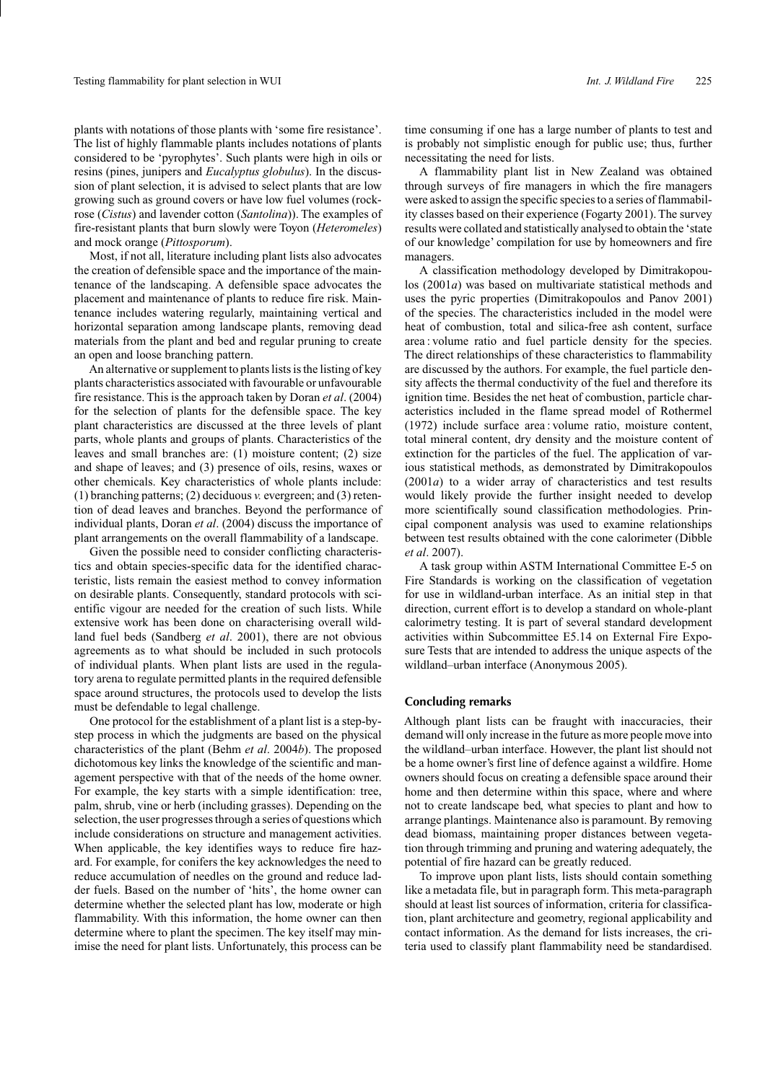plants with notations of those plants with 'some fire resistance'. The list of highly flammable plants includes notations of plants considered to be 'pyrophytes'. Such plants were high in oils or resins (pines, junipers and *Eucalyptus globulus*). In the discussion of plant selection, it is advised to select plants that are low growing such as ground covers or have low fuel volumes (rockrose (*Cistus*) and lavender cotton (*Santolina*)). The examples of fire-resistant plants that burn slowly were Toyon (*Heteromeles*) and mock orange (*Pittosporum*).

Most, if not all, literature including plant lists also advocates the creation of defensible space and the importance of the maintenance of the landscaping. A defensible space advocates the placement and maintenance of plants to reduce fire risk. Maintenance includes watering regularly, maintaining vertical and horizontal separation among landscape plants, removing dead materials from the plant and bed and regular pruning to create an open and loose branching pattern.

An alternative or supplement to plants lists is the listing of key plants characteristics associated with favourable or unfavourable fire resistance. This is the approach taken by Doran *et al*. (2004) for the selection of plants for the defensible space. The key plant characteristics are discussed at the three levels of plant parts, whole plants and groups of plants. Characteristics of the leaves and small branches are: (1) moisture content; (2) size and shape of leaves; and (3) presence of oils, resins, waxes or other chemicals. Key characteristics of whole plants include: (1) branching patterns; (2) deciduous *v.* evergreen; and (3) retention of dead leaves and branches. Beyond the performance of individual plants, Doran *et al*. (2004) discuss the importance of plant arrangements on the overall flammability of a landscape.

Given the possible need to consider conflicting characteristics and obtain species-specific data for the identified characteristic, lists remain the easiest method to convey information on desirable plants. Consequently, standard protocols with scientific vigour are needed for the creation of such lists. While extensive work has been done on characterising overall wildland fuel beds (Sandberg *et al*. 2001), there are not obvious agreements as to what should be included in such protocols of individual plants. When plant lists are used in the regulatory arena to regulate permitted plants in the required defensible space around structures, the protocols used to develop the lists must be defendable to legal challenge.

One protocol for the establishment of a plant list is a step-bystep process in which the judgments are based on the physical characteristics of the plant (Behm *et al*. 2004*b*). The proposed dichotomous key links the knowledge of the scientific and management perspective with that of the needs of the home owner. For example, the key starts with a simple identification: tree, palm, shrub, vine or herb (including grasses). Depending on the selection, the user progresses through a series of questions which include considerations on structure and management activities. When applicable, the key identifies ways to reduce fire hazard. For example, for conifers the key acknowledges the need to reduce accumulation of needles on the ground and reduce ladder fuels. Based on the number of 'hits', the home owner can determine whether the selected plant has low, moderate or high flammability. With this information, the home owner can then determine where to plant the specimen. The key itself may minimise the need for plant lists. Unfortunately, this process can be time consuming if one has a large number of plants to test and is probably not simplistic enough for public use; thus, further necessitating the need for lists.

A flammability plant list in New Zealand was obtained through surveys of fire managers in which the fire managers were asked to assign the specific species to a series of flammability classes based on their experience (Fogarty 2001). The survey results were collated and statistically analysed to obtain the 'state of our knowledge' compilation for use by homeowners and fire managers.

A classification methodology developed by Dimitrakopoulos (2001*a*) was based on multivariate statistical methods and uses the pyric properties (Dimitrakopoulos and Panov 2001) of the species. The characteristics included in the model were heat of combustion, total and silica-free ash content, surface area : volume ratio and fuel particle density for the species. The direct relationships of these characteristics to flammability are discussed by the authors. For example, the fuel particle density affects the thermal conductivity of the fuel and therefore its ignition time. Besides the net heat of combustion, particle characteristics included in the flame spread model of Rothermel (1972) include surface area : volume ratio, moisture content, total mineral content, dry density and the moisture content of extinction for the particles of the fuel. The application of various statistical methods, as demonstrated by Dimitrakopoulos (2001*a*) to a wider array of characteristics and test results would likely provide the further insight needed to develop more scientifically sound classification methodologies. Principal component analysis was used to examine relationships between test results obtained with the cone calorimeter (Dibble *et al*. 2007).

A task group within ASTM International Committee E-5 on Fire Standards is working on the classification of vegetation for use in wildland-urban interface. As an initial step in that direction, current effort is to develop a standard on whole-plant calorimetry testing. It is part of several standard development activities within Subcommittee E5.14 on External Fire Exposure Tests that are intended to address the unique aspects of the wildland–urban interface (Anonymous 2005).

# **Concluding remarks**

Although plant lists can be fraught with inaccuracies, their demand will only increase in the future as more people move into the wildland–urban interface. However, the plant list should not be a home owner's first line of defence against a wildfire. Home owners should focus on creating a defensible space around their home and then determine within this space, where and where not to create landscape bed, what species to plant and how to arrange plantings. Maintenance also is paramount. By removing dead biomass, maintaining proper distances between vegetation through trimming and pruning and watering adequately, the potential of fire hazard can be greatly reduced.

To improve upon plant lists, lists should contain something like a metadata file, but in paragraph form. This meta-paragraph should at least list sources of information, criteria for classification, plant architecture and geometry, regional applicability and contact information. As the demand for lists increases, the criteria used to classify plant flammability need be standardised.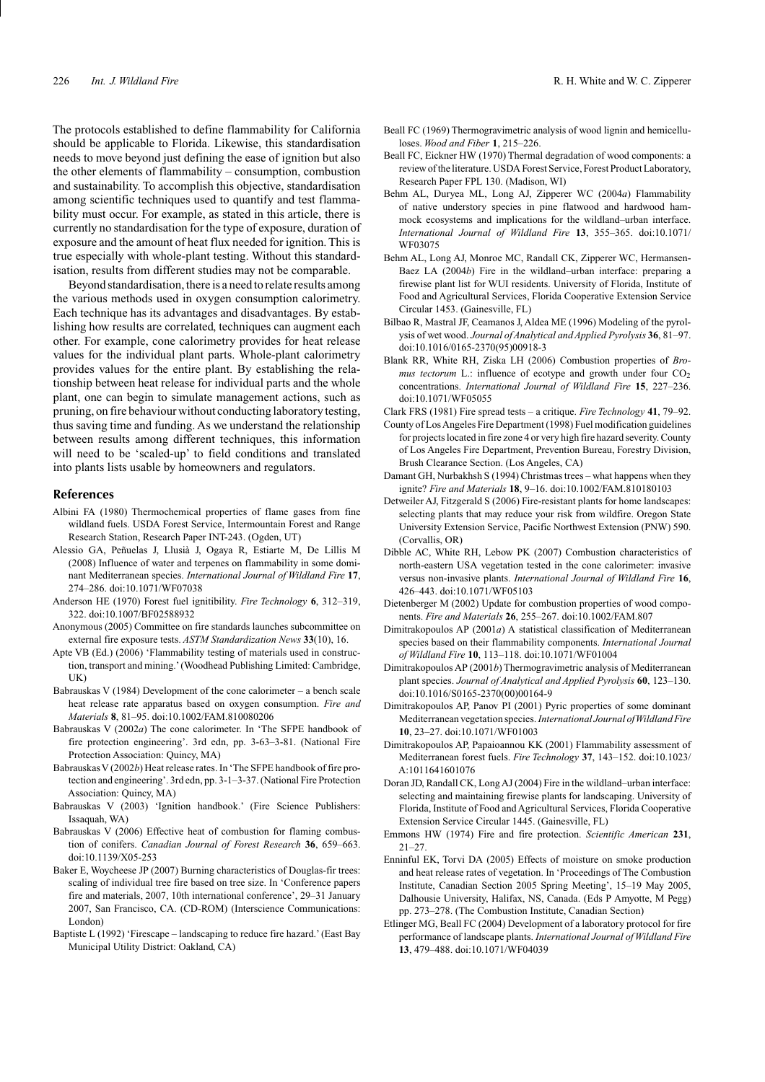The protocols established to define flammability for California should be applicable to Florida. Likewise, this standardisation needs to move beyond just defining the ease of ignition but also the other elements of flammability – consumption, combustion and sustainability. To accomplish this objective, standardisation among scientific techniques used to quantify and test flammability must occur. For example, as stated in this article, there is currently no standardisation for the type of exposure, duration of exposure and the amount of heat flux needed for ignition. This is true especially with whole-plant testing. Without this standardisation, results from different studies may not be comparable.

Beyond standardisation, there is a need to relate results among the various methods used in oxygen consumption calorimetry. Each technique has its advantages and disadvantages. By establishing how results are correlated, techniques can augment each other. For example, cone calorimetry provides for heat release values for the individual plant parts. Whole-plant calorimetry provides values for the entire plant. By establishing the relationship between heat release for individual parts and the whole plant, one can begin to simulate management actions, such as pruning, on fire behaviour without conducting laboratory testing, thus saving time and funding. As we understand the relationship between results among different techniques, this information will need to be 'scaled-up' to field conditions and translated into plants lists usable by homeowners and regulators.

## **References**

- Albini FA (1980) Thermochemical properties of flame gases from fine wildland fuels. USDA Forest Service, Intermountain Forest and Range Research Station, Research Paper INT-243. (Ogden, UT)
- Alessio GA, Peñuelas J, Llusià J, Ogaya R, Estiarte M, De Lillis M (2008) Influence of water and terpenes on flammability in some dominant Mediterranean species. *International Journal of Wildland Fire* **17**, 274–286. doi:10.1071/WF07038
- Anderson HE (1970) Forest fuel ignitibility. *Fire Technology* **6**, 312–319, 322. doi:10.1007/BF02588932
- Anonymous (2005) Committee on fire standards launches subcommittee on external fire exposure tests. *ASTM Standardization News* **33**(10), 16.
- Apte VB (Ed.) (2006) 'Flammability testing of materials used in construction, transport and mining.'(Woodhead Publishing Limited: Cambridge, UK)
- Babrauskas V (1984) Development of the cone calorimeter a bench scale heat release rate apparatus based on oxygen consumption. *Fire and Materials* **8**, 81–95. doi:10.1002/FAM.810080206
- Babrauskas V (2002*a*) The cone calorimeter. In 'The SFPE handbook of fire protection engineering'. 3rd edn, pp. 3-63–3-81. (National Fire Protection Association: Quincy, MA)
- BabrauskasV (2002*b*) Heat release rates. In 'The SFPE handbook of fire protection and engineering'. 3rd edn, pp. 3-1–3-37. (National Fire Protection Association: Quincy, MA)
- Babrauskas V (2003) 'Ignition handbook.' (Fire Science Publishers: Issaquah, WA)
- Babrauskas V (2006) Effective heat of combustion for flaming combustion of conifers. *Canadian Journal of Forest Research* **36**, 659–663. doi:10.1139/X05-253
- Baker E, Woycheese JP (2007) Burning characteristics of Douglas-fir trees: scaling of individual tree fire based on tree size. In 'Conference papers fire and materials, 2007, 10th international conference', 29–31 January 2007, San Francisco, CA. (CD-ROM) (Interscience Communications: London)
- Baptiste L (1992) 'Firescape landscaping to reduce fire hazard.' (East Bay Municipal Utility District: Oakland, CA)
- Beall FC (1969) Thermogravimetric analysis of wood lignin and hemicelluloses. *Wood and Fiber* **1**, 215–226.
- Beall FC, Eickner HW (1970) Thermal degradation of wood components: a review of the literature. USDA Forest Service, Forest Product Laboratory, Research Paper FPL 130. (Madison, WI)
- Behm AL, Duryea ML, Long AJ, Zipperer WC (2004*a*) Flammability of native understory species in pine flatwood and hardwood hammock ecosystems and implications for the wildland–urban interface. *International Journal of Wildland Fire* **13**, 355–365. doi:10.1071/ WF03075
- Behm AL, Long AJ, Monroe MC, Randall CK, Zipperer WC, Hermansen-Baez LA (2004*b*) Fire in the wildland–urban interface: preparing a firewise plant list for WUI residents. University of Florida, Institute of Food and Agricultural Services, Florida Cooperative Extension Service Circular 1453. (Gainesville, FL)
- Bilbao R, Mastral JF, Ceamanos J, Aldea ME (1996) Modeling of the pyrolysis of wet wood. *Journal of Analytical and Applied Pyrolysis* **36**, 81–97. doi:10.1016/0165-2370(95)00918-3
- Blank RR, White RH, Ziska LH (2006) Combustion properties of *Bromus tectorum* L.: influence of ecotype and growth under four  $CO<sub>2</sub>$ concentrations. *International Journal of Wildland Fire* **15**, 227–236. doi:10.1071/WF05055

Clark FRS (1981) Fire spread tests – a critique. *Fire Technology* **41**, 79–92.

- County of LosAngeles Fire Department (1998) Fuel modification guidelines for projects located in fire zone 4 or very high fire hazard severity. County of Los Angeles Fire Department, Prevention Bureau, Forestry Division, Brush Clearance Section. (Los Angeles, CA)
- Damant GH, Nurbakhsh S (1994) Christmas trees what happens when they ignite? *Fire and Materials* **18**, 9–16. doi:10.1002/FAM.810180103
- Detweiler AJ, Fitzgerald S (2006) Fire-resistant plants for home landscapes: selecting plants that may reduce your risk from wildfire. Oregon State University Extension Service, Pacific Northwest Extension (PNW) 590. (Corvallis, OR)
- Dibble AC, White RH, Lebow PK (2007) Combustion characteristics of north-eastern USA vegetation tested in the cone calorimeter: invasive versus non-invasive plants. *International Journal of Wildland Fire* **16**, 426–443. doi:10.1071/WF05103
- Dietenberger M (2002) Update for combustion properties of wood components. *Fire and Materials* **26**, 255–267. doi:10.1002/FAM.807
- Dimitrakopoulos AP (2001*a*) A statistical classification of Mediterranean species based on their flammability components. *International Journal of Wildland Fire* **10**, 113–118. doi:10.1071/WF01004
- Dimitrakopoulos AP (2001*b*) Thermogravimetric analysis of Mediterranean plant species. *Journal of Analytical and Applied Pyrolysis* **60**, 123–130. doi:10.1016/S0165-2370(00)00164-9
- Dimitrakopoulos AP, Panov PI (2001) Pyric properties of some dominant Mediterranean vegetation species.*International Journal ofWildland Fire* **10**, 23–27. doi:10.1071/WF01003
- Dimitrakopoulos AP, Papaioannou KK (2001) Flammability assessment of Mediterranean forest fuels. *Fire Technology* **37**, 143–152. doi:10.1023/ A:1011641601076
- Doran JD, Randall CK, LongAJ (2004) Fire in the wildland–urban interface: selecting and maintaining firewise plants for landscaping. University of Florida, Institute of Food and Agricultural Services, Florida Cooperative Extension Service Circular 1445. (Gainesville, FL)
- Emmons HW (1974) Fire and fire protection. *Scientific American* **231**, 21–27.
- Enninful EK, Torvi DA (2005) Effects of moisture on smoke production and heat release rates of vegetation. In 'Proceedings of The Combustion Institute, Canadian Section 2005 Spring Meeting', 15–19 May 2005, Dalhousie University, Halifax, NS, Canada. (Eds P Amyotte, M Pegg) pp. 273–278. (The Combustion Institute, Canadian Section)
- Etlinger MG, Beall FC (2004) Development of a laboratory protocol for fire performance of landscape plants. *International Journal of Wildland Fire* **13**, 479–488. doi:10.1071/WF04039